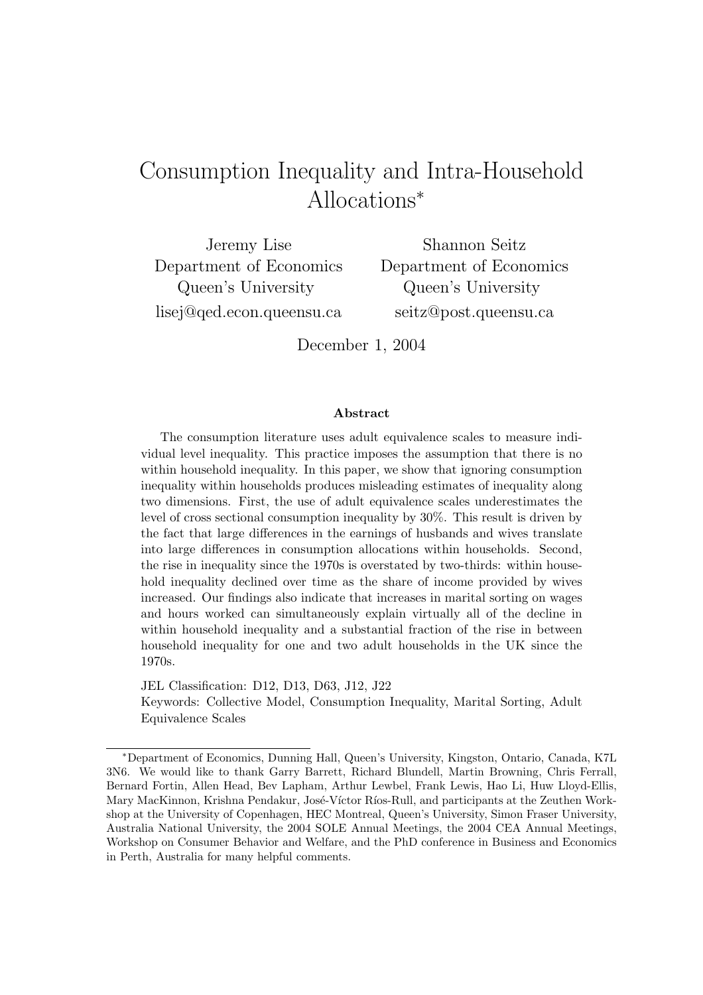# Consumption Inequality and Intra-Household Allocations<sup>∗</sup>

Jeremy Lise Department of Economics Queen's University lisej@qed.econ.queensu.ca

Shannon Seitz Department of Economics Queen's University seitz@post.queensu.ca

December 1, 2004

#### Abstract

The consumption literature uses adult equivalence scales to measure individual level inequality. This practice imposes the assumption that there is no within household inequality. In this paper, we show that ignoring consumption inequality within households produces misleading estimates of inequality along two dimensions. First, the use of adult equivalence scales underestimates the level of cross sectional consumption inequality by 30%. This result is driven by the fact that large differences in the earnings of husbands and wives translate into large differences in consumption allocations within households. Second, the rise in inequality since the 1970s is overstated by two-thirds: within household inequality declined over time as the share of income provided by wives increased. Our findings also indicate that increases in marital sorting on wages and hours worked can simultaneously explain virtually all of the decline in within household inequality and a substantial fraction of the rise in between household inequality for one and two adult households in the UK since the 1970s.

JEL Classification: D12, D13, D63, J12, J22 Keywords: Collective Model, Consumption Inequality, Marital Sorting, Adult Equivalence Scales

<sup>∗</sup>Department of Economics, Dunning Hall, Queen's University, Kingston, Ontario, Canada, K7L 3N6. We would like to thank Garry Barrett, Richard Blundell, Martin Browning, Chris Ferrall, Bernard Fortin, Allen Head, Bev Lapham, Arthur Lewbel, Frank Lewis, Hao Li, Huw Lloyd-Ellis, Mary MacKinnon, Krishna Pendakur, José-Víctor Ríos-Rull, and participants at the Zeuthen Workshop at the University of Copenhagen, HEC Montreal, Queen's University, Simon Fraser University, Australia National University, the 2004 SOLE Annual Meetings, the 2004 CEA Annual Meetings, Workshop on Consumer Behavior and Welfare, and the PhD conference in Business and Economics in Perth, Australia for many helpful comments.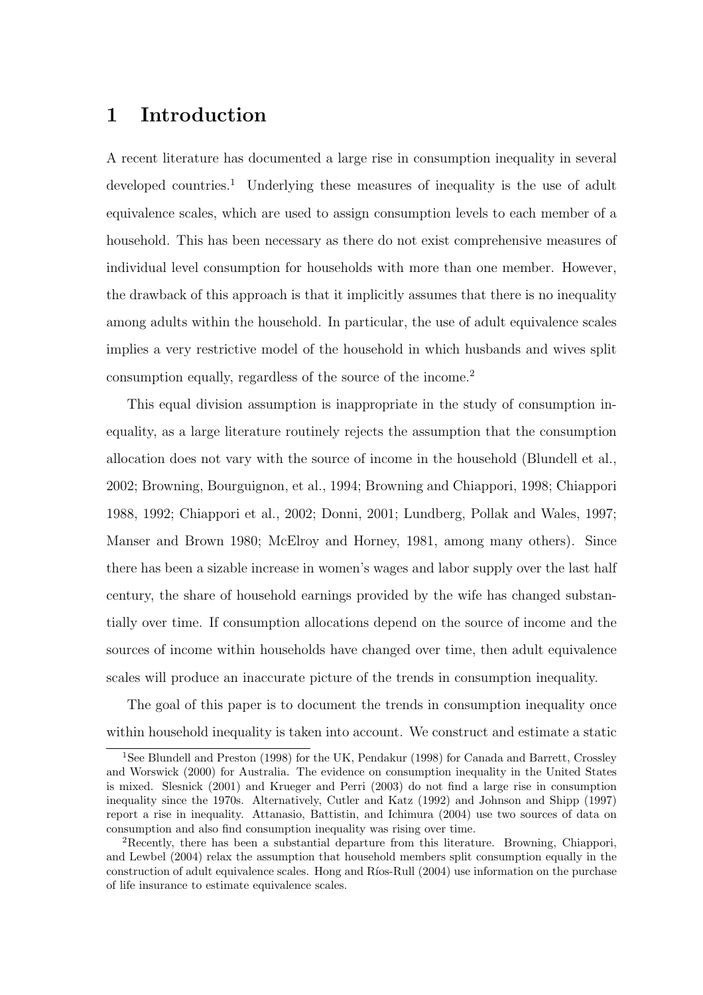## 1 Introduction

A recent literature has documented a large rise in consumption inequality in several developed countries.<sup>1</sup> Underlying these measures of inequality is the use of adult equivalence scales, which are used to assign consumption levels to each member of a household. This has been necessary as there do not exist comprehensive measures of individual level consumption for households with more than one member. However, the drawback of this approach is that it implicitly assumes that there is no inequality among adults within the household. In particular, the use of adult equivalence scales implies a very restrictive model of the household in which husbands and wives split consumption equally, regardless of the source of the income.<sup>2</sup>

This equal division assumption is inappropriate in the study of consumption inequality, as a large literature routinely rejects the assumption that the consumption allocation does not vary with the source of income in the household (Blundell et al., 2002; Browning, Bourguignon, et al., 1994; Browning and Chiappori, 1998; Chiappori 1988, 1992; Chiappori et al., 2002; Donni, 2001; Lundberg, Pollak and Wales, 1997; Manser and Brown 1980; McElroy and Horney, 1981, among many others). Since there has been a sizable increase in women's wages and labor supply over the last half century, the share of household earnings provided by the wife has changed substantially over time. If consumption allocations depend on the source of income and the sources of income within households have changed over time, then adult equivalence scales will produce an inaccurate picture of the trends in consumption inequality.

The goal of this paper is to document the trends in consumption inequality once within household inequality is taken into account. We construct and estimate a static

<sup>1</sup>See Blundell and Preston (1998) for the UK, Pendakur (1998) for Canada and Barrett, Crossley and Worswick (2000) for Australia. The evidence on consumption inequality in the United States is mixed. Slesnick (2001) and Krueger and Perri (2003) do not find a large rise in consumption inequality since the 1970s. Alternatively, Cutler and Katz (1992) and Johnson and Shipp (1997) report a rise in inequality. Attanasio, Battistin, and Ichimura (2004) use two sources of data on consumption and also find consumption inequality was rising over time.

<sup>2</sup>Recently, there has been a substantial departure from this literature. Browning, Chiappori, and Lewbel (2004) relax the assumption that household members split consumption equally in the construction of adult equivalence scales. Hong and Ríos-Rull (2004) use information on the purchase of life insurance to estimate equivalence scales.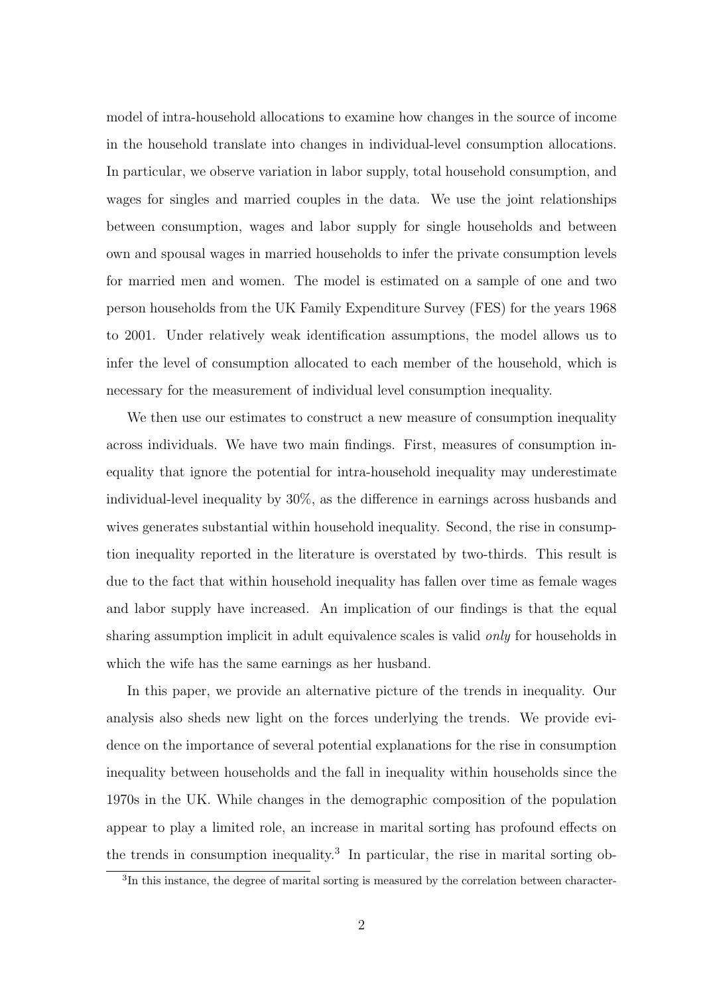model of intra-household allocations to examine how changes in the source of income in the household translate into changes in individual-level consumption allocations. In particular, we observe variation in labor supply, total household consumption, and wages for singles and married couples in the data. We use the joint relationships between consumption, wages and labor supply for single households and between own and spousal wages in married households to infer the private consumption levels for married men and women. The model is estimated on a sample of one and two person households from the UK Family Expenditure Survey (FES) for the years 1968 to 2001. Under relatively weak identification assumptions, the model allows us to infer the level of consumption allocated to each member of the household, which is necessary for the measurement of individual level consumption inequality.

We then use our estimates to construct a new measure of consumption inequality across individuals. We have two main findings. First, measures of consumption inequality that ignore the potential for intra-household inequality may underestimate individual-level inequality by 30%, as the difference in earnings across husbands and wives generates substantial within household inequality. Second, the rise in consumption inequality reported in the literature is overstated by two-thirds. This result is due to the fact that within household inequality has fallen over time as female wages and labor supply have increased. An implication of our findings is that the equal sharing assumption implicit in adult equivalence scales is valid *only* for households in which the wife has the same earnings as her husband.

In this paper, we provide an alternative picture of the trends in inequality. Our analysis also sheds new light on the forces underlying the trends. We provide evidence on the importance of several potential explanations for the rise in consumption inequality between households and the fall in inequality within households since the 1970s in the UK. While changes in the demographic composition of the population appear to play a limited role, an increase in marital sorting has profound effects on the trends in consumption inequality.<sup>3</sup> In particular, the rise in marital sorting ob-

<sup>&</sup>lt;sup>3</sup>In this instance, the degree of marital sorting is measured by the correlation between character-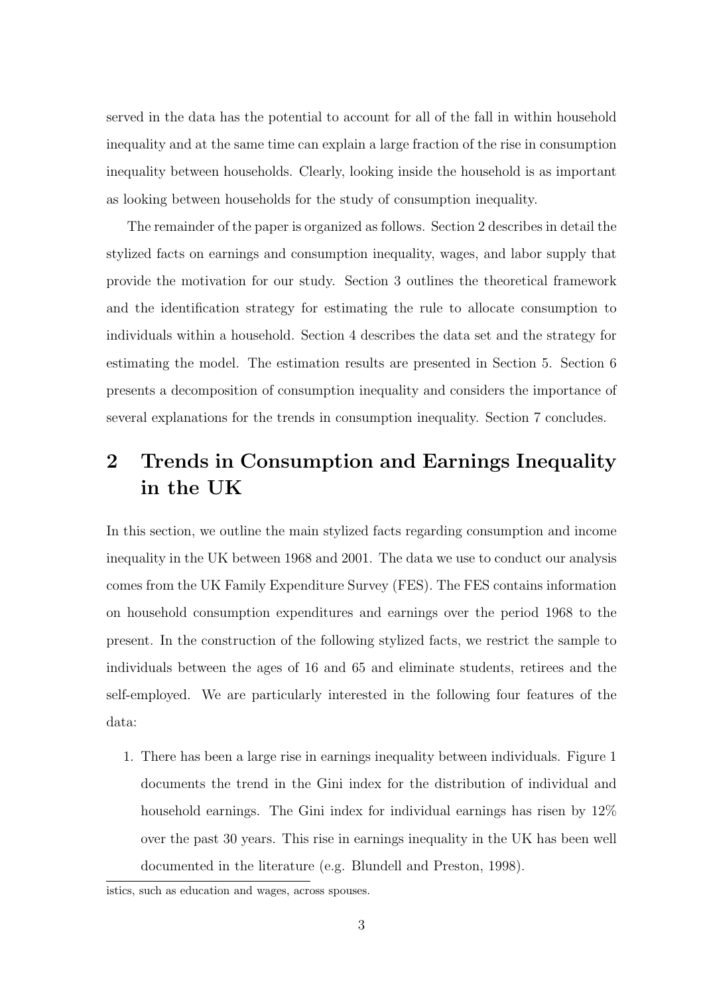served in the data has the potential to account for all of the fall in within household inequality and at the same time can explain a large fraction of the rise in consumption inequality between households. Clearly, looking inside the household is as important as looking between households for the study of consumption inequality.

The remainder of the paper is organized as follows. Section 2 describes in detail the stylized facts on earnings and consumption inequality, wages, and labor supply that provide the motivation for our study. Section 3 outlines the theoretical framework and the identification strategy for estimating the rule to allocate consumption to individuals within a household. Section 4 describes the data set and the strategy for estimating the model. The estimation results are presented in Section 5. Section 6 presents a decomposition of consumption inequality and considers the importance of several explanations for the trends in consumption inequality. Section 7 concludes.

## 2 Trends in Consumption and Earnings Inequality in the UK

In this section, we outline the main stylized facts regarding consumption and income inequality in the UK between 1968 and 2001. The data we use to conduct our analysis comes from the UK Family Expenditure Survey (FES). The FES contains information on household consumption expenditures and earnings over the period 1968 to the present. In the construction of the following stylized facts, we restrict the sample to individuals between the ages of 16 and 65 and eliminate students, retirees and the self-employed. We are particularly interested in the following four features of the data:

1. There has been a large rise in earnings inequality between individuals. Figure 1 documents the trend in the Gini index for the distribution of individual and household earnings. The Gini index for individual earnings has risen by  $12\%$ over the past 30 years. This rise in earnings inequality in the UK has been well documented in the literature (e.g. Blundell and Preston, 1998).

istics, such as education and wages, across spouses.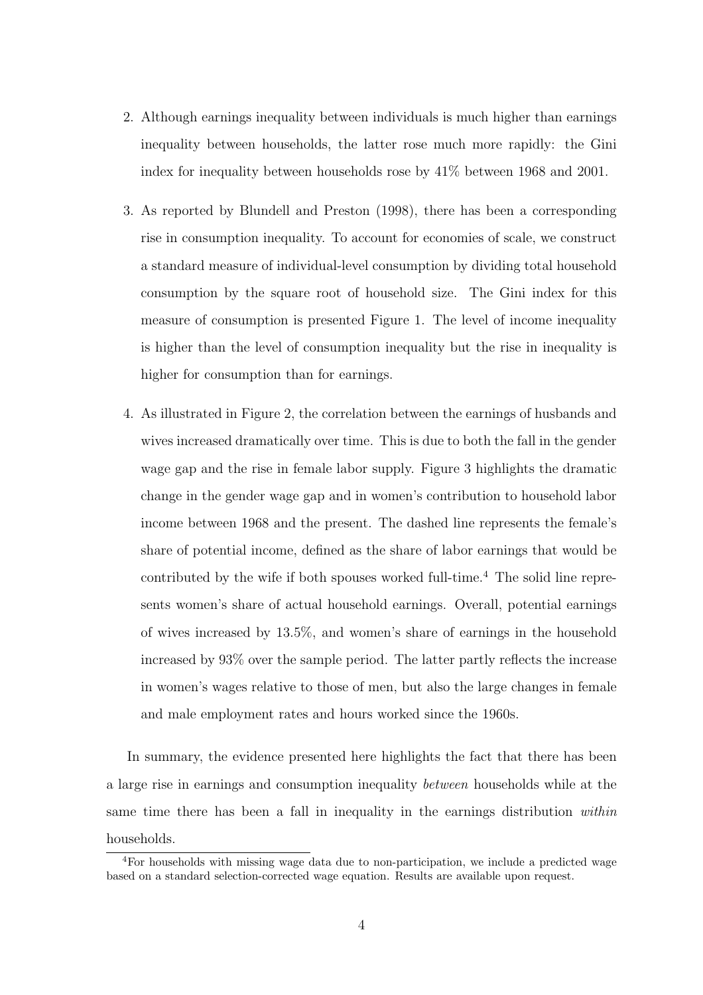- 2. Although earnings inequality between individuals is much higher than earnings inequality between households, the latter rose much more rapidly: the Gini index for inequality between households rose by 41% between 1968 and 2001.
- 3. As reported by Blundell and Preston (1998), there has been a corresponding rise in consumption inequality. To account for economies of scale, we construct a standard measure of individual-level consumption by dividing total household consumption by the square root of household size. The Gini index for this measure of consumption is presented Figure 1. The level of income inequality is higher than the level of consumption inequality but the rise in inequality is higher for consumption than for earnings.
- 4. As illustrated in Figure 2, the correlation between the earnings of husbands and wives increased dramatically over time. This is due to both the fall in the gender wage gap and the rise in female labor supply. Figure 3 highlights the dramatic change in the gender wage gap and in women's contribution to household labor income between 1968 and the present. The dashed line represents the female's share of potential income, defined as the share of labor earnings that would be contributed by the wife if both spouses worked full-time.<sup>4</sup> The solid line represents women's share of actual household earnings. Overall, potential earnings of wives increased by 13.5%, and women's share of earnings in the household increased by 93% over the sample period. The latter partly reflects the increase in women's wages relative to those of men, but also the large changes in female and male employment rates and hours worked since the 1960s.

In summary, the evidence presented here highlights the fact that there has been a large rise in earnings and consumption inequality between households while at the same time there has been a fall in inequality in the earnings distribution within households.

<sup>4</sup>For households with missing wage data due to non-participation, we include a predicted wage based on a standard selection-corrected wage equation. Results are available upon request.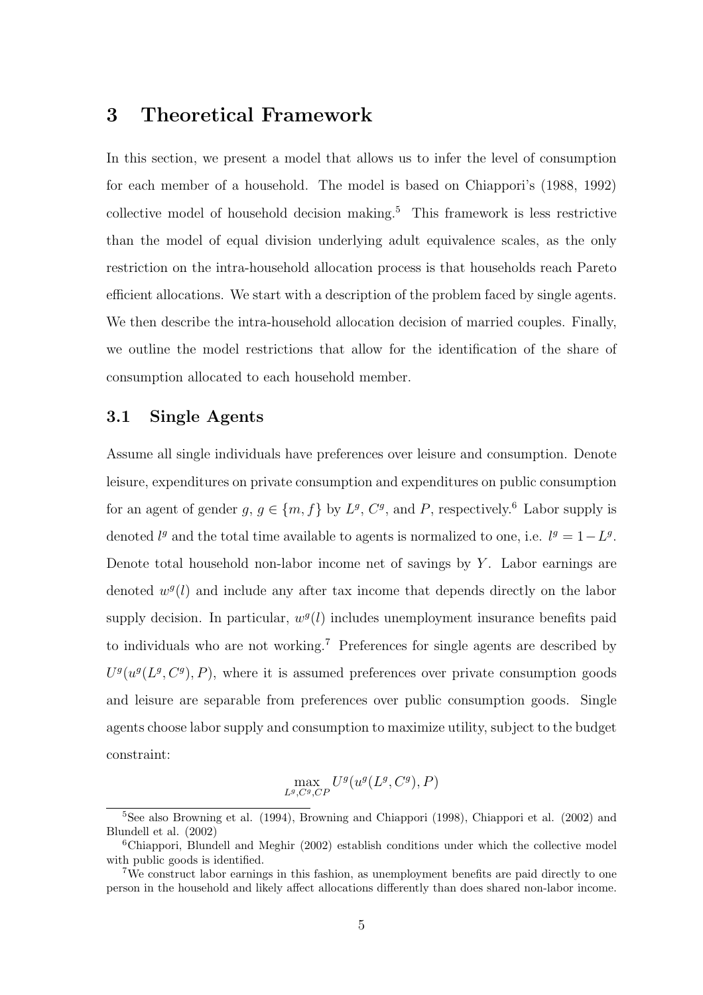### 3 Theoretical Framework

In this section, we present a model that allows us to infer the level of consumption for each member of a household. The model is based on Chiappori's (1988, 1992) collective model of household decision making.<sup>5</sup> This framework is less restrictive than the model of equal division underlying adult equivalence scales, as the only restriction on the intra-household allocation process is that households reach Pareto efficient allocations. We start with a description of the problem faced by single agents. We then describe the intra-household allocation decision of married couples. Finally, we outline the model restrictions that allow for the identification of the share of consumption allocated to each household member.

#### 3.1 Single Agents

Assume all single individuals have preferences over leisure and consumption. Denote leisure, expenditures on private consumption and expenditures on public consumption for an agent of gender  $g, g \in \{m, f\}$  by  $L^g, C^g$ , and P, respectively.<sup>6</sup> Labor supply is denoted  $l<sup>g</sup>$  and the total time available to agents is normalized to one, i.e.  $l<sup>g</sup> = 1 - L<sup>g</sup>$ . Denote total household non-labor income net of savings by  $Y$ . Labor earnings are denoted  $w<sup>g</sup>(l)$  and include any after tax income that depends directly on the labor supply decision. In particular,  $w<sup>g</sup>(l)$  includes unemployment insurance benefits paid to individuals who are not working.<sup>7</sup> Preferences for single agents are described by  $U<sup>g</sup>(u<sup>g</sup>(L<sup>g</sup>, C<sup>g</sup>), P)$ , where it is assumed preferences over private consumption goods and leisure are separable from preferences over public consumption goods. Single agents choose labor supply and consumption to maximize utility, subject to the budget constraint:

$$
\max_{L^g,C^g,C^p} U^g(u^g(L^g,C^g),P)
$$

 $5$ See also Browning et al. (1994), Browning and Chiappori (1998), Chiappori et al. (2002) and Blundell et al. (2002)

<sup>6</sup>Chiappori, Blundell and Meghir (2002) establish conditions under which the collective model with public goods is identified.

<sup>7</sup>We construct labor earnings in this fashion, as unemployment benefits are paid directly to one person in the household and likely affect allocations differently than does shared non-labor income.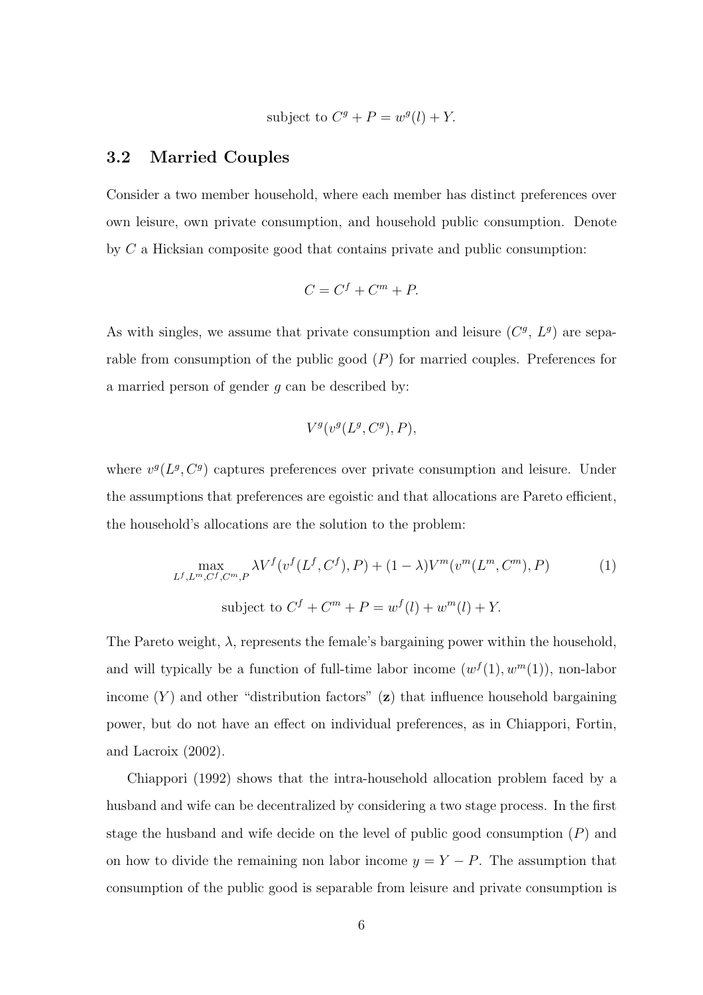subject to  $C^g + P = w^g(l) + Y$ .

#### 3.2 Married Couples

Consider a two member household, where each member has distinct preferences over own leisure, own private consumption, and household public consumption. Denote by C a Hicksian composite good that contains private and public consumption:

$$
C = C^f + C^m + P.
$$

As with singles, we assume that private consumption and leisure  $(C<sup>g</sup>, L<sup>g</sup>)$  are separable from consumption of the public good  $(P)$  for married couples. Preferences for a married person of gender  $q$  can be described by:

$$
V^g(v^g(L^g, C^g), P),
$$

where  $v^g(L^g, C^g)$  captures preferences over private consumption and leisure. Under the assumptions that preferences are egoistic and that allocations are Pareto efficient, the household's allocations are the solution to the problem:

$$
\max_{L^f, L^m, C^f, C^m, P} \lambda V^f(v^f(L^f, C^f), P) + (1 - \lambda)V^m(v^m(L^m, C^m), P)
$$
\nsubject to

\n
$$
C^f + C^m + P = w^f(l) + w^m(l) + Y.
$$
\n(1)

The Pareto weight,  $\lambda$ , represents the female's bargaining power within the household, and will typically be a function of full-time labor income  $(w^f(1), w^m(1))$ , non-labor income  $(Y)$  and other "distribution factors" (z) that influence household bargaining power, but do not have an effect on individual preferences, as in Chiappori, Fortin, and Lacroix (2002).

Chiappori (1992) shows that the intra-household allocation problem faced by a husband and wife can be decentralized by considering a two stage process. In the first stage the husband and wife decide on the level of public good consumption  $(P)$  and on how to divide the remaining non labor income  $y = Y - P$ . The assumption that consumption of the public good is separable from leisure and private consumption is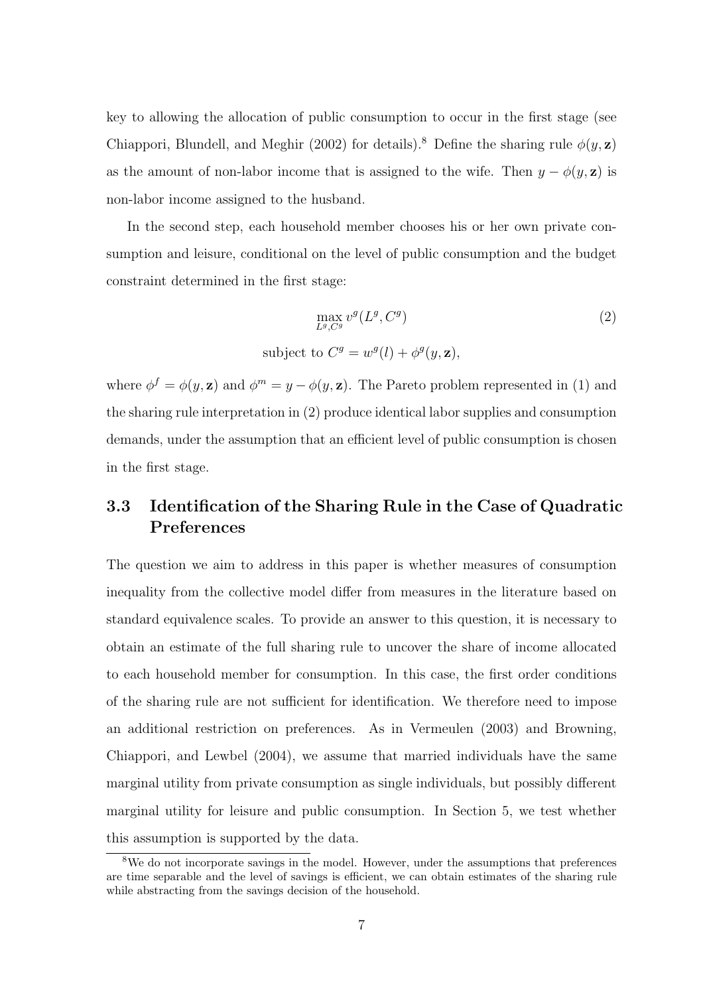key to allowing the allocation of public consumption to occur in the first stage (see Chiappori, Blundell, and Meghir (2002) for details).<sup>8</sup> Define the sharing rule  $\phi(y, z)$ as the amount of non-labor income that is assigned to the wife. Then  $y - \phi(y, z)$  is non-labor income assigned to the husband.

In the second step, each household member chooses his or her own private consumption and leisure, conditional on the level of public consumption and the budget constraint determined in the first stage:

$$
\max_{L^g, C^g} v^g(L^g, C^g)
$$
  
subject to  $C^g = w^g(l) + \phi^g(y, \mathbf{z}),$  (2)

where  $\phi^f = \phi(y, \mathbf{z})$  and  $\phi^m = y - \phi(y, \mathbf{z})$ . The Pareto problem represented in (1) and the sharing rule interpretation in (2) produce identical labor supplies and consumption demands, under the assumption that an efficient level of public consumption is chosen in the first stage.

### 3.3 Identification of the Sharing Rule in the Case of Quadratic Preferences

The question we aim to address in this paper is whether measures of consumption inequality from the collective model differ from measures in the literature based on standard equivalence scales. To provide an answer to this question, it is necessary to obtain an estimate of the full sharing rule to uncover the share of income allocated to each household member for consumption. In this case, the first order conditions of the sharing rule are not sufficient for identification. We therefore need to impose an additional restriction on preferences. As in Vermeulen (2003) and Browning, Chiappori, and Lewbel (2004), we assume that married individuals have the same marginal utility from private consumption as single individuals, but possibly different marginal utility for leisure and public consumption. In Section 5, we test whether this assumption is supported by the data.

<sup>8</sup>We do not incorporate savings in the model. However, under the assumptions that preferences are time separable and the level of savings is efficient, we can obtain estimates of the sharing rule while abstracting from the savings decision of the household.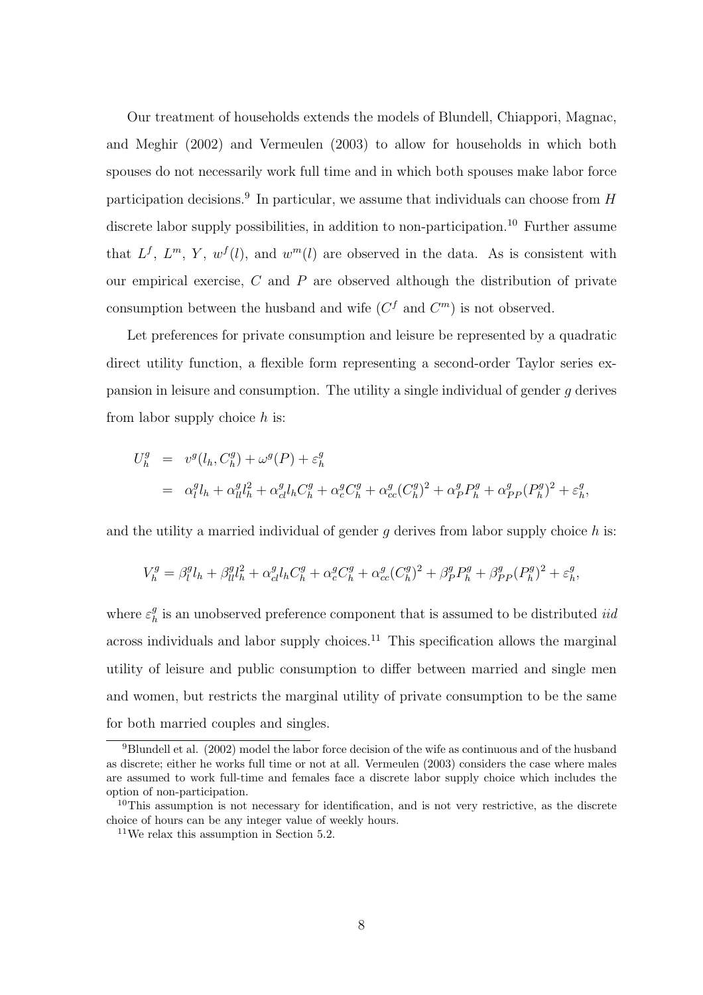Our treatment of households extends the models of Blundell, Chiappori, Magnac, and Meghir (2002) and Vermeulen (2003) to allow for households in which both spouses do not necessarily work full time and in which both spouses make labor force participation decisions.<sup>9</sup> In particular, we assume that individuals can choose from  $H$ discrete labor supply possibilities, in addition to non-participation.<sup>10</sup> Further assume that  $L^f$ ,  $L^m$ ,  $Y$ ,  $w^f$ (l), and  $w^m$ (l) are observed in the data. As is consistent with our empirical exercise,  $C$  and  $P$  are observed although the distribution of private consumption between the husband and wife  $(C^f$  and  $C^m)$  is not observed.

Let preferences for private consumption and leisure be represented by a quadratic direct utility function, a flexible form representing a second-order Taylor series expansion in leisure and consumption. The utility a single individual of gender g derives from labor supply choice  $h$  is:

$$
U_h^g = v^g(l_h, C_h^g) + \omega^g(P) + \varepsilon_h^g
$$
  
=  $\alpha_l^g l_h + \alpha_{ll}^g l_h^2 + \alpha_{cl}^g l_h C_h^g + \alpha_c^g C_h^g + \alpha_{cc}^g (C_h^g)^2 + \alpha_p^g P_h^g + \alpha_{PP}^g (P_h^g)^2 + \varepsilon_h^g,$ 

and the utility a married individual of gender q derives from labor supply choice  $h$  is:

$$
V_h^g=\beta_l^g l_h+\beta_{ll}^g l_h^2+\alpha_{cl}^g l_h C_h^g+\alpha_c^g C_h^g+\alpha_{cc}^g(C_h^g)^2+\beta_P^g P_h^g+\beta_{PP}^g(P_h^g)^2+\varepsilon_h^g,
$$

where  $\varepsilon_h^g$  $\frac{g}{h}$  is an unobserved preference component that is assumed to be distributed *iid* across individuals and labor supply choices.<sup>11</sup> This specification allows the marginal utility of leisure and public consumption to differ between married and single men and women, but restricts the marginal utility of private consumption to be the same for both married couples and singles.

 $^{9}$ Blundell et al. (2002) model the labor force decision of the wife as continuous and of the husband as discrete; either he works full time or not at all. Vermeulen (2003) considers the case where males are assumed to work full-time and females face a discrete labor supply choice which includes the option of non-participation.

 $10$ This assumption is not necessary for identification, and is not very restrictive, as the discrete choice of hours can be any integer value of weekly hours.

<sup>11</sup>We relax this assumption in Section 5.2.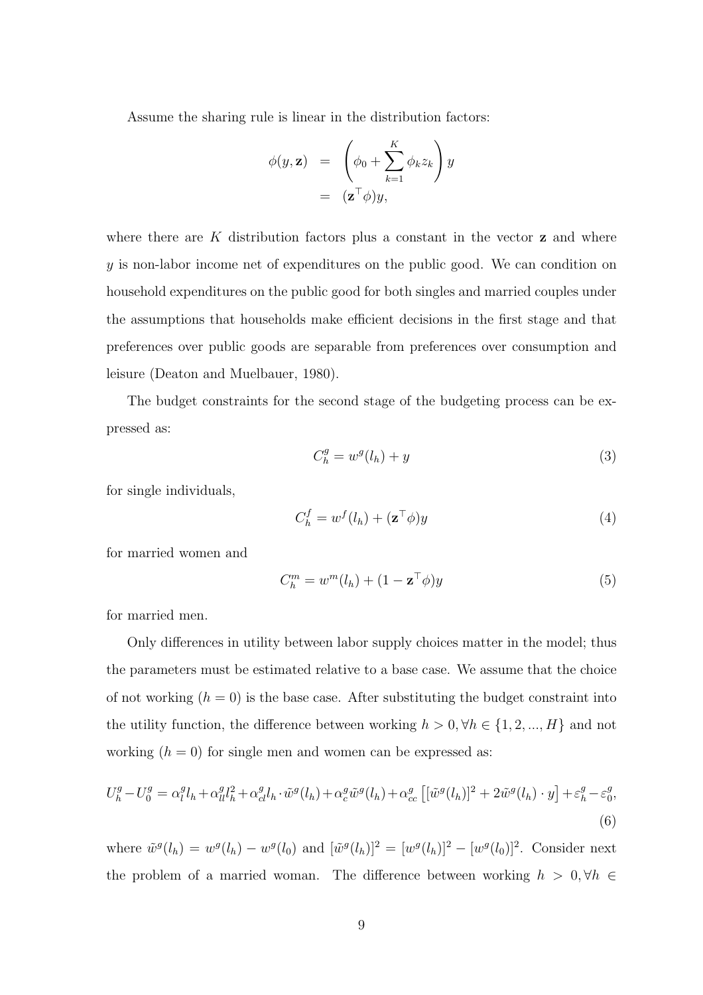Assume the sharing rule is linear in the distribution factors:

$$
\begin{array}{rcl}\n\phi(y, \mathbf{z}) & = & \left(\phi_0 + \sum_{k=1}^K \phi_k z_k\right) y \\
& = & (\mathbf{z}^\top \phi) y,\n\end{array}
$$

where there are  $K$  distribution factors plus a constant in the vector  $z$  and where y is non-labor income net of expenditures on the public good. We can condition on household expenditures on the public good for both singles and married couples under the assumptions that households make efficient decisions in the first stage and that preferences over public goods are separable from preferences over consumption and leisure (Deaton and Muelbauer, 1980).

The budget constraints for the second stage of the budgeting process can be expressed as:

$$
C_h^g = w^g(l_h) + y \tag{3}
$$

for single individuals,

$$
C_h^f = w^f(l_h) + (\mathbf{z}^\top \phi)y \tag{4}
$$

for married women and

$$
C_h^m = w^m(l_h) + (1 - \mathbf{z}^\top \phi)y \tag{5}
$$

for married men.

Only differences in utility between labor supply choices matter in the model; thus the parameters must be estimated relative to a base case. We assume that the choice of not working  $(h = 0)$  is the base case. After substituting the budget constraint into the utility function, the difference between working  $h > 0, \forall h \in \{1, 2, ..., H\}$  and not working  $(h = 0)$  for single men and women can be expressed as:

$$
U_h^g - U_0^g = \alpha_l^g l_h + \alpha_{ll}^g l_h^2 + \alpha_{cl}^g l_h \cdot \tilde{w}^g(l_h) + \alpha_c^g \tilde{w}^g(l_h) + \alpha_{cc}^g \left[ [\tilde{w}^g(l_h)]^2 + 2\tilde{w}^g(l_h) \cdot y \right] + \varepsilon_h^g - \varepsilon_0^g,
$$
\n(6)

where  $\tilde{w}^g(l_h) = w^g(l_h) - w^g(l_0)$  and  $[\tilde{w}^g(l_h)]^2 = [w^g(l_h)]^2 - [w^g(l_0)]^2$ . Consider next the problem of a married woman. The difference between working  $h > 0, \forall h \in$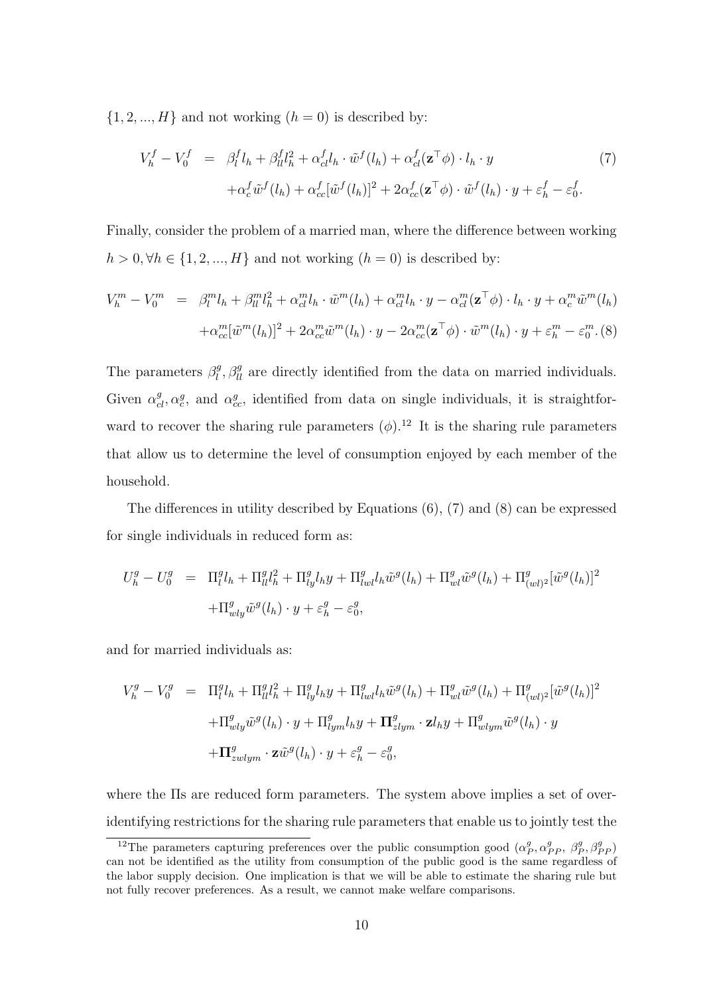$\{1, 2, ..., H\}$  and not working  $(h = 0)$  is described by:

$$
V_h^f - V_0^f = \beta_l^f l_h + \beta_{ll}^f l_h^2 + \alpha_{cl}^f l_h \cdot \tilde{w}^f(l_h) + \alpha_{cl}^f(\mathbf{z}^\top \phi) \cdot l_h \cdot y
$$
  
 
$$
+ \alpha_c^f \tilde{w}^f(l_h) + \alpha_{cc}^f[\tilde{w}^f(l_h)]^2 + 2\alpha_{cc}^f(\mathbf{z}^\top \phi) \cdot \tilde{w}^f(l_h) \cdot y + \varepsilon_h^f - \varepsilon_0^f.
$$
 (7)

Finally, consider the problem of a married man, where the difference between working  $h > 0, \forall h \in \{1, 2, ..., H\}$  and not working  $(h = 0)$  is described by:

$$
V_h^m - V_0^m = \beta_l^m l_h + \beta_{ll}^m l_h^2 + \alpha_{cl}^m l_h \cdot \tilde{w}^m(l_h) + \alpha_{cl}^m l_h \cdot y - \alpha_{cl}^m (\mathbf{z}^\top \phi) \cdot l_h \cdot y + \alpha_c^m \tilde{w}^m(l_h)
$$

$$
+ \alpha_{cc}^m [\tilde{w}^m(l_h)]^2 + 2\alpha_{cc}^m \tilde{w}^m(l_h) \cdot y - 2\alpha_{cc}^m (\mathbf{z}^\top \phi) \cdot \tilde{w}^m(l_h) \cdot y + \varepsilon_h^m - \varepsilon_0^m. (8)
$$

The parameters  $\beta_l^g$  $\mathcal{L}_{\ell}^{g}$ ,  $\beta_{ll}^{g}$  are directly identified from the data on married individuals. Given  $\alpha_{cl}^g$ ,  $\alpha_c^g$ , and  $\alpha_{cc}^g$ , identified from data on single individuals, it is straightforward to recover the sharing rule parameters  $(\phi)$ .<sup>12</sup> It is the sharing rule parameters that allow us to determine the level of consumption enjoyed by each member of the household.

The differences in utility described by Equations (6), (7) and (8) can be expressed for single individuals in reduced form as:

$$
U_h^g - U_0^g = \Pi_l^g l_h + \Pi_{ll}^g l_h^2 + \Pi_{ly}^g l_h y + \Pi_{lwl}^g l_h \tilde{w}^g(l_h) + \Pi_{wl}^g \tilde{w}^g(l_h) + \Pi_{(wl)^2}^g [\tilde{w}^g(l_h)]^2
$$
  
+ 
$$
\Pi_{wly}^g \tilde{w}^g(l_h) \cdot y + \varepsilon_h^g - \varepsilon_0^g,
$$

and for married individuals as:

$$
V_h^g - V_0^g = \Pi_l^g l_h + \Pi_{ll}^g l_h^2 + \Pi_{ly}^g l_h y + \Pi_{lwl}^g l_h \tilde{w}^g(l_h) + \Pi_{wl}^g \tilde{w}^g(l_h) + \Pi_{(wl)^2}^g [\tilde{w}^g(l_h)]^2
$$
  
+ 
$$
\Pi_{wly}^g \tilde{w}^g(l_h) \cdot y + \Pi_{lym}^g l_h y + \Pi_{zlym}^g \cdot \mathbf{z} l_h y + \Pi_{wlym}^g \tilde{w}^g(l_h) \cdot y
$$
  
+ 
$$
\Pi_{zwlym}^g \cdot \mathbf{z} \tilde{w}^g(l_h) \cdot y + \varepsilon_h^g - \varepsilon_0^g,
$$

where the IIs are reduced form parameters. The system above implies a set of overidentifying restrictions for the sharing rule parameters that enable us to jointly test the

<sup>&</sup>lt;sup>12</sup>The parameters capturing preferences over the public consumption good  $(\alpha_P^g, \alpha_{PP}^g, \beta_{P}^g, \beta_{PP}^g)$ can not be identified as the utility from consumption of the public good is the same regardless of the labor supply decision. One implication is that we will be able to estimate the sharing rule but not fully recover preferences. As a result, we cannot make welfare comparisons.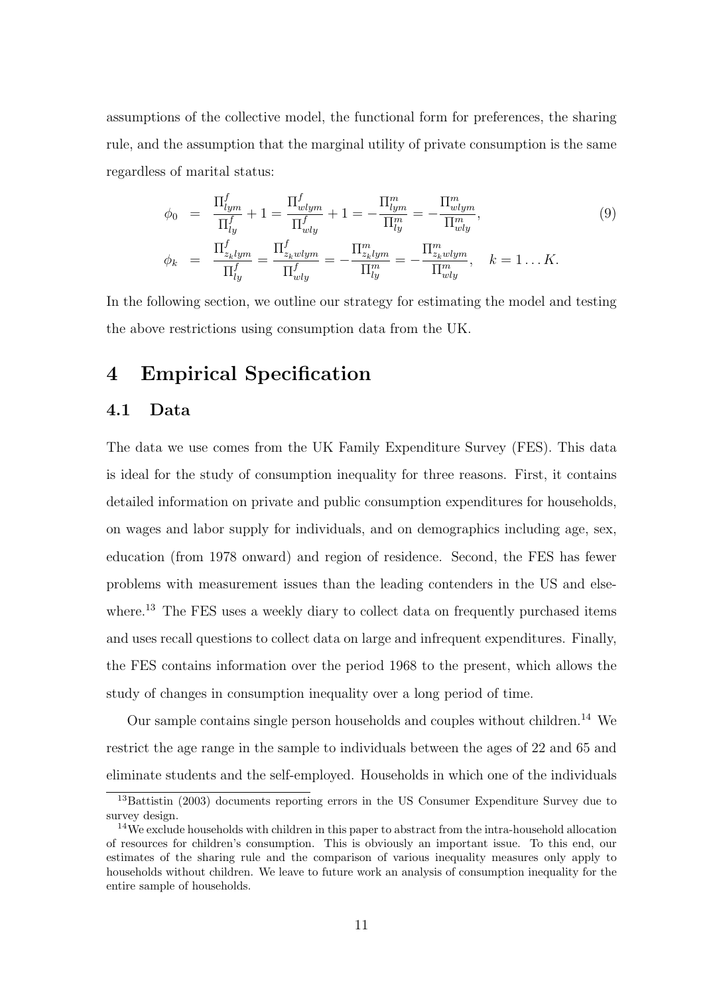assumptions of the collective model, the functional form for preferences, the sharing rule, and the assumption that the marginal utility of private consumption is the same regardless of marital status:

$$
\phi_0 = \frac{\Pi_{lym}^f}{\Pi_{ly}^f} + 1 = \frac{\Pi_{wlym}^f}{\Pi_{wly}^f} + 1 = -\frac{\Pi_{lym}^m}{\Pi_{ly}^m} = -\frac{\Pi_{wlym}^m}{\Pi_{wly}^m},
$$
\n
$$
\phi_k = \frac{\Pi_{z_klym}^f}{\Pi_{ly}^f} = \frac{\Pi_{z_kwlym}^f}{\Pi_{yly}^f} = -\frac{\Pi_{z_klym}^m}{\Pi_{ly}^m} = -\frac{\Pi_{z_kwlym}^m}{\Pi_{wy}^m}, \quad k = 1...K.
$$
\n(9)

In the following section, we outline our strategy for estimating the model and testing the above restrictions using consumption data from the UK.

## 4 Empirical Specification

#### 4.1 Data

The data we use comes from the UK Family Expenditure Survey (FES). This data is ideal for the study of consumption inequality for three reasons. First, it contains detailed information on private and public consumption expenditures for households, on wages and labor supply for individuals, and on demographics including age, sex, education (from 1978 onward) and region of residence. Second, the FES has fewer problems with measurement issues than the leading contenders in the US and elsewhere.<sup>13</sup> The FES uses a weekly diary to collect data on frequently purchased items and uses recall questions to collect data on large and infrequent expenditures. Finally, the FES contains information over the period 1968 to the present, which allows the study of changes in consumption inequality over a long period of time.

Our sample contains single person households and couples without children.<sup>14</sup> We restrict the age range in the sample to individuals between the ages of 22 and 65 and eliminate students and the self-employed. Households in which one of the individuals

<sup>13</sup>Battistin (2003) documents reporting errors in the US Consumer Expenditure Survey due to survey design.

<sup>&</sup>lt;sup>14</sup>We exclude households with children in this paper to abstract from the intra-household allocation of resources for children's consumption. This is obviously an important issue. To this end, our estimates of the sharing rule and the comparison of various inequality measures only apply to households without children. We leave to future work an analysis of consumption inequality for the entire sample of households.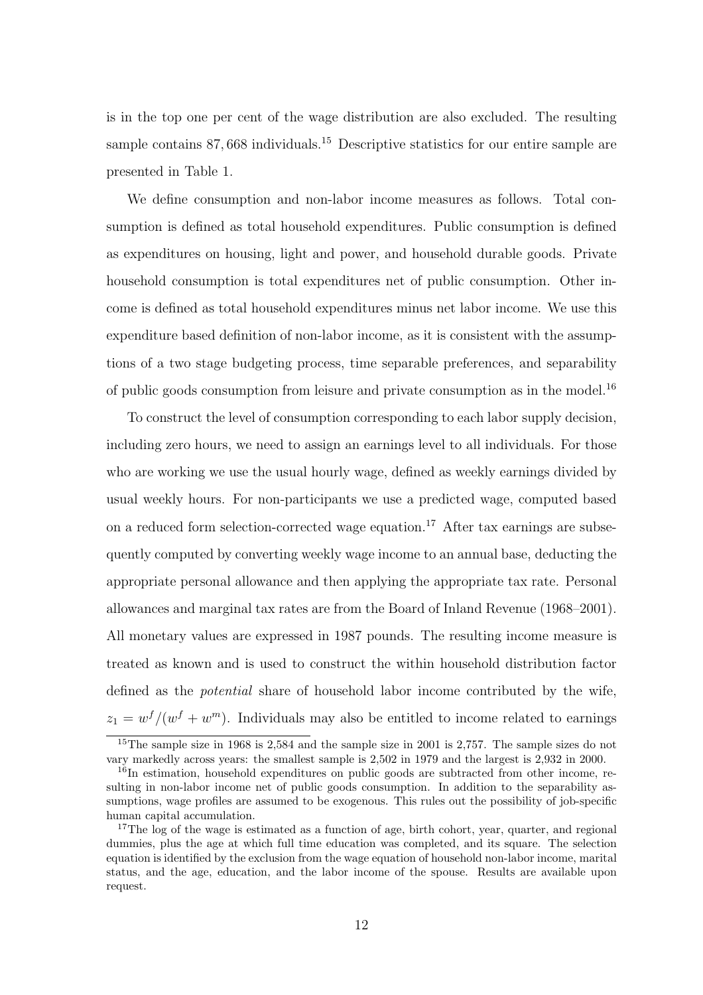is in the top one per cent of the wage distribution are also excluded. The resulting sample contains 87,668 individuals.<sup>15</sup> Descriptive statistics for our entire sample are presented in Table 1.

We define consumption and non-labor income measures as follows. Total consumption is defined as total household expenditures. Public consumption is defined as expenditures on housing, light and power, and household durable goods. Private household consumption is total expenditures net of public consumption. Other income is defined as total household expenditures minus net labor income. We use this expenditure based definition of non-labor income, as it is consistent with the assumptions of a two stage budgeting process, time separable preferences, and separability of public goods consumption from leisure and private consumption as in the model.<sup>16</sup>

To construct the level of consumption corresponding to each labor supply decision, including zero hours, we need to assign an earnings level to all individuals. For those who are working we use the usual hourly wage, defined as weekly earnings divided by usual weekly hours. For non-participants we use a predicted wage, computed based on a reduced form selection-corrected wage equation.<sup>17</sup> After tax earnings are subsequently computed by converting weekly wage income to an annual base, deducting the appropriate personal allowance and then applying the appropriate tax rate. Personal allowances and marginal tax rates are from the Board of Inland Revenue (1968–2001). All monetary values are expressed in 1987 pounds. The resulting income measure is treated as known and is used to construct the within household distribution factor defined as the potential share of household labor income contributed by the wife,  $z_1 = w^{f}/(w^{f} + w^{m})$ . Individuals may also be entitled to income related to earnings

<sup>&</sup>lt;sup>15</sup>The sample size in 1968 is 2,584 and the sample size in 2001 is 2,757. The sample sizes do not vary markedly across years: the smallest sample is 2,502 in 1979 and the largest is 2,932 in 2000.

<sup>&</sup>lt;sup>16</sup>In estimation, household expenditures on public goods are subtracted from other income, resulting in non-labor income net of public goods consumption. In addition to the separability assumptions, wage profiles are assumed to be exogenous. This rules out the possibility of job-specific human capital accumulation.

<sup>&</sup>lt;sup>17</sup>The log of the wage is estimated as a function of age, birth cohort, year, quarter, and regional dummies, plus the age at which full time education was completed, and its square. The selection equation is identified by the exclusion from the wage equation of household non-labor income, marital status, and the age, education, and the labor income of the spouse. Results are available upon request.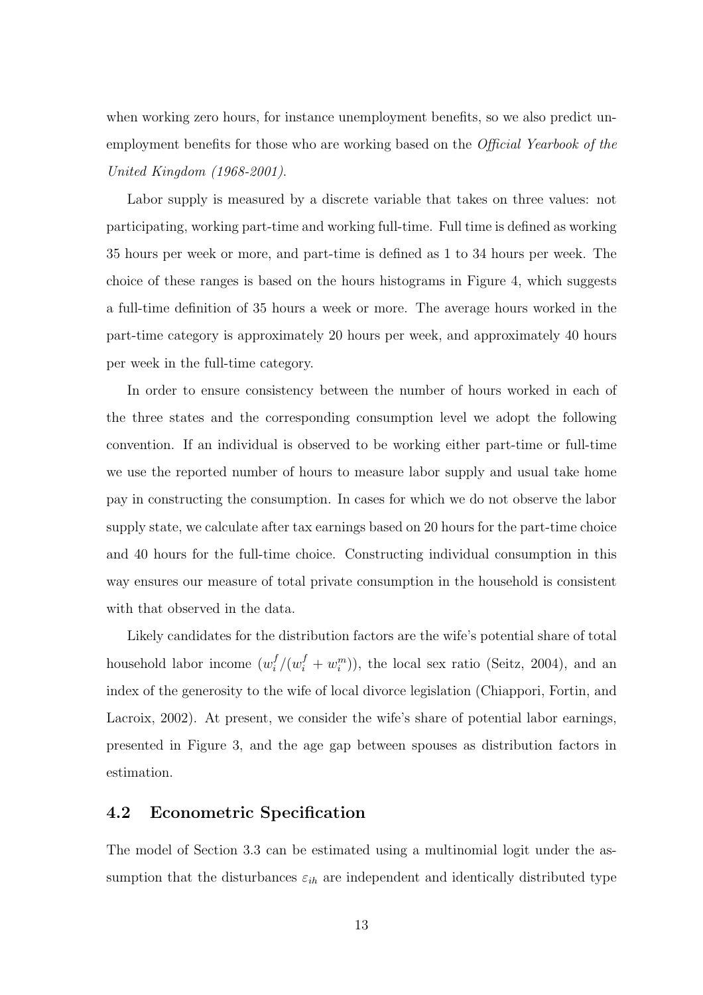when working zero hours, for instance unemployment benefits, so we also predict unemployment benefits for those who are working based on the *Official Yearbook of the* United Kingdom (1968-2001).

Labor supply is measured by a discrete variable that takes on three values: not participating, working part-time and working full-time. Full time is defined as working 35 hours per week or more, and part-time is defined as 1 to 34 hours per week. The choice of these ranges is based on the hours histograms in Figure 4, which suggests a full-time definition of 35 hours a week or more. The average hours worked in the part-time category is approximately 20 hours per week, and approximately 40 hours per week in the full-time category.

In order to ensure consistency between the number of hours worked in each of the three states and the corresponding consumption level we adopt the following convention. If an individual is observed to be working either part-time or full-time we use the reported number of hours to measure labor supply and usual take home pay in constructing the consumption. In cases for which we do not observe the labor supply state, we calculate after tax earnings based on 20 hours for the part-time choice and 40 hours for the full-time choice. Constructing individual consumption in this way ensures our measure of total private consumption in the household is consistent with that observed in the data.

Likely candidates for the distribution factors are the wife's potential share of total household labor income  $(w_i^f)$  $i_j^f/(w_i^f + w_i^m)$ , the local sex ratio (Seitz, 2004), and an index of the generosity to the wife of local divorce legislation (Chiappori, Fortin, and Lacroix, 2002). At present, we consider the wife's share of potential labor earnings, presented in Figure 3, and the age gap between spouses as distribution factors in estimation.

#### 4.2 Econometric Specification

The model of Section 3.3 can be estimated using a multinomial logit under the assumption that the disturbances  $\varepsilon_{ih}$  are independent and identically distributed type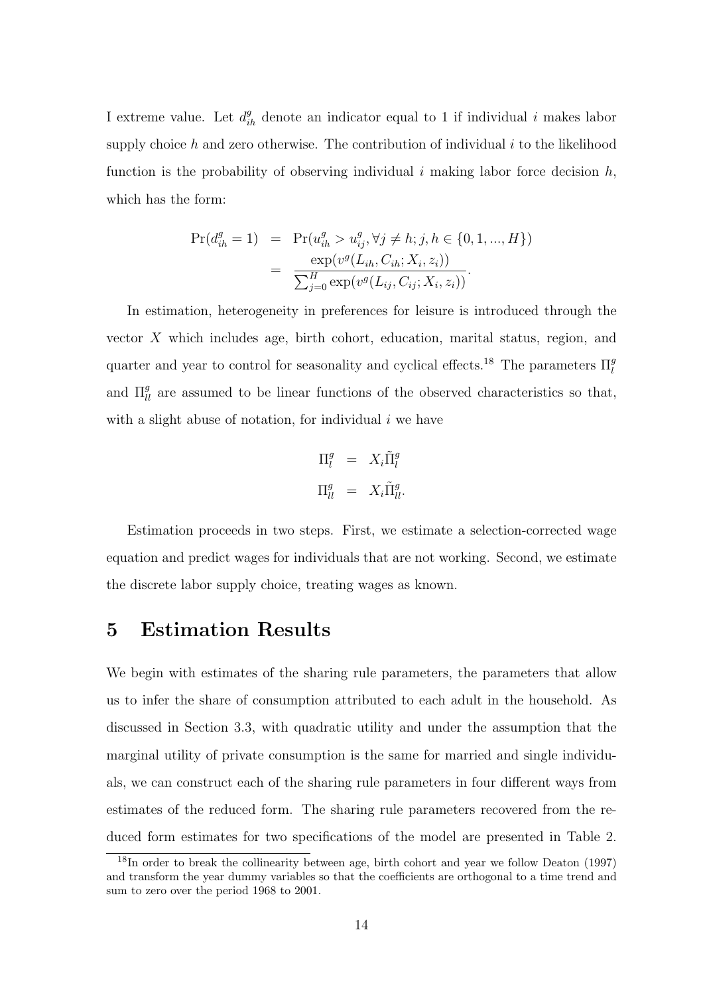I extreme value. Let  $d_{ih}^g$  denote an indicator equal to 1 if individual i makes labor supply choice h and zero otherwise. The contribution of individual  $i$  to the likelihood function is the probability of observing individual i making labor force decision  $h$ , which has the form:

$$
Pr(d_{ih}^{g} = 1) = Pr(u_{ih}^{g} > u_{ij}^{g}, \forall j \neq h; j, h \in \{0, 1, ..., H\})
$$
  
= 
$$
\frac{\exp(v^{g}(L_{ih}, C_{ih}; X_i, z_i))}{\sum_{j=0}^{H} \exp(v^{g}(L_{ij}, C_{ij}; X_i, z_i))}.
$$

In estimation, heterogeneity in preferences for leisure is introduced through the vector X which includes age, birth cohort, education, marital status, region, and quarter and year to control for seasonality and cyclical effects.<sup>18</sup> The parameters  $\Pi_l^g$ and  $\Pi_{ll}^g$  are assumed to be linear functions of the observed characteristics so that, with a slight abuse of notation, for individual  $i$  we have

$$
\Pi_l^g = X_i \tilde{\Pi}_l^g
$$
  

$$
\Pi_{ll}^g = X_i \tilde{\Pi}_{ll}^g.
$$

Estimation proceeds in two steps. First, we estimate a selection-corrected wage equation and predict wages for individuals that are not working. Second, we estimate the discrete labor supply choice, treating wages as known.

## 5 Estimation Results

We begin with estimates of the sharing rule parameters, the parameters that allow us to infer the share of consumption attributed to each adult in the household. As discussed in Section 3.3, with quadratic utility and under the assumption that the marginal utility of private consumption is the same for married and single individuals, we can construct each of the sharing rule parameters in four different ways from estimates of the reduced form. The sharing rule parameters recovered from the reduced form estimates for two specifications of the model are presented in Table 2.

 $18$ In order to break the collinearity between age, birth cohort and year we follow Deaton (1997) and transform the year dummy variables so that the coefficients are orthogonal to a time trend and sum to zero over the period 1968 to 2001.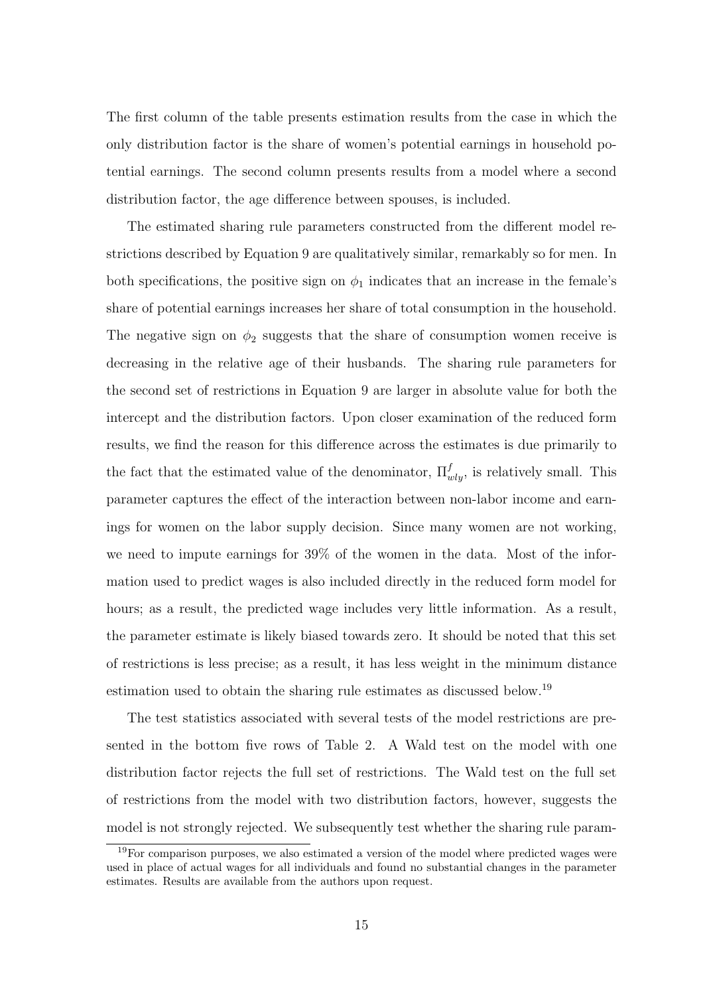The first column of the table presents estimation results from the case in which the only distribution factor is the share of women's potential earnings in household potential earnings. The second column presents results from a model where a second distribution factor, the age difference between spouses, is included.

The estimated sharing rule parameters constructed from the different model restrictions described by Equation 9 are qualitatively similar, remarkably so for men. In both specifications, the positive sign on  $\phi_1$  indicates that an increase in the female's share of potential earnings increases her share of total consumption in the household. The negative sign on  $\phi_2$  suggests that the share of consumption women receive is decreasing in the relative age of their husbands. The sharing rule parameters for the second set of restrictions in Equation 9 are larger in absolute value for both the intercept and the distribution factors. Upon closer examination of the reduced form results, we find the reason for this difference across the estimates is due primarily to the fact that the estimated value of the denominator,  $\Pi_{wly}^f$ , is relatively small. This parameter captures the effect of the interaction between non-labor income and earnings for women on the labor supply decision. Since many women are not working, we need to impute earnings for 39% of the women in the data. Most of the information used to predict wages is also included directly in the reduced form model for hours; as a result, the predicted wage includes very little information. As a result, the parameter estimate is likely biased towards zero. It should be noted that this set of restrictions is less precise; as a result, it has less weight in the minimum distance estimation used to obtain the sharing rule estimates as discussed below.<sup>19</sup>

The test statistics associated with several tests of the model restrictions are presented in the bottom five rows of Table 2. A Wald test on the model with one distribution factor rejects the full set of restrictions. The Wald test on the full set of restrictions from the model with two distribution factors, however, suggests the model is not strongly rejected. We subsequently test whether the sharing rule param-

<sup>&</sup>lt;sup>19</sup>For comparison purposes, we also estimated a version of the model where predicted wages were used in place of actual wages for all individuals and found no substantial changes in the parameter estimates. Results are available from the authors upon request.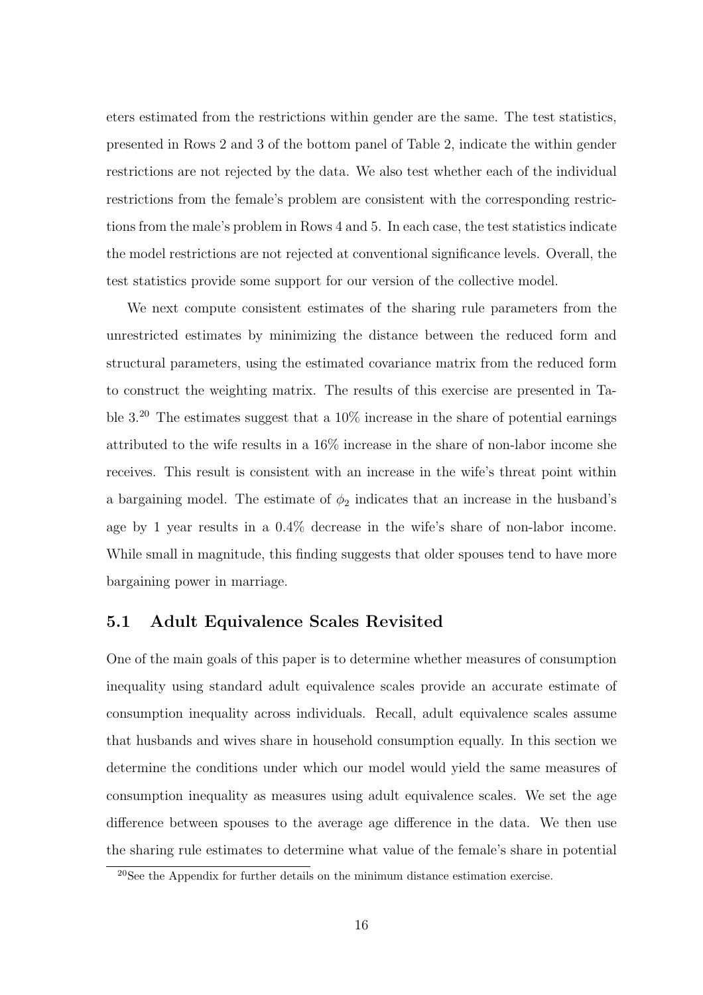eters estimated from the restrictions within gender are the same. The test statistics, presented in Rows 2 and 3 of the bottom panel of Table 2, indicate the within gender restrictions are not rejected by the data. We also test whether each of the individual restrictions from the female's problem are consistent with the corresponding restrictions from the male's problem in Rows 4 and 5. In each case, the test statistics indicate the model restrictions are not rejected at conventional significance levels. Overall, the test statistics provide some support for our version of the collective model.

We next compute consistent estimates of the sharing rule parameters from the unrestricted estimates by minimizing the distance between the reduced form and structural parameters, using the estimated covariance matrix from the reduced form to construct the weighting matrix. The results of this exercise are presented in Table  $3^{20}$ . The estimates suggest that a  $10\%$  increase in the share of potential earnings attributed to the wife results in a 16% increase in the share of non-labor income she receives. This result is consistent with an increase in the wife's threat point within a bargaining model. The estimate of  $\phi_2$  indicates that an increase in the husband's age by 1 year results in a 0.4% decrease in the wife's share of non-labor income. While small in magnitude, this finding suggests that older spouses tend to have more bargaining power in marriage.

#### 5.1 Adult Equivalence Scales Revisited

One of the main goals of this paper is to determine whether measures of consumption inequality using standard adult equivalence scales provide an accurate estimate of consumption inequality across individuals. Recall, adult equivalence scales assume that husbands and wives share in household consumption equally. In this section we determine the conditions under which our model would yield the same measures of consumption inequality as measures using adult equivalence scales. We set the age difference between spouses to the average age difference in the data. We then use the sharing rule estimates to determine what value of the female's share in potential

<sup>20</sup>See the Appendix for further details on the minimum distance estimation exercise.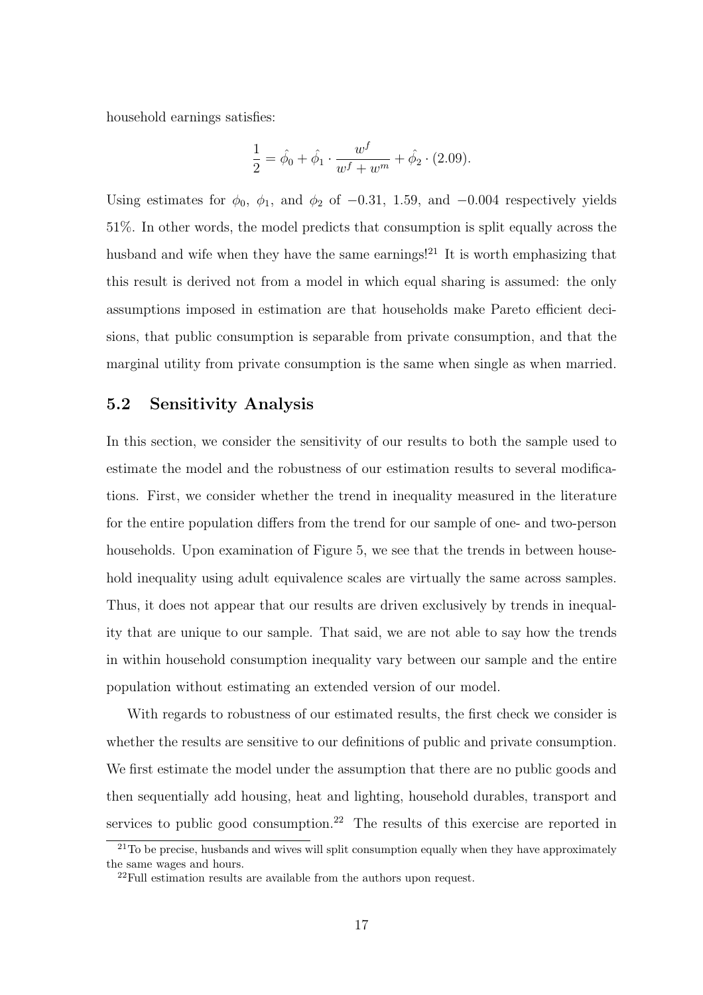household earnings satisfies:

$$
\frac{1}{2} = \hat{\phi}_0 + \hat{\phi}_1 \cdot \frac{w^f}{w^f + w^m} + \hat{\phi}_2 \cdot (2.09).
$$

Using estimates for  $\phi_0$ ,  $\phi_1$ , and  $\phi_2$  of −0.31, 1.59, and −0.004 respectively yields 51%. In other words, the model predicts that consumption is split equally across the husband and wife when they have the same earnings!<sup>21</sup> It is worth emphasizing that this result is derived not from a model in which equal sharing is assumed: the only assumptions imposed in estimation are that households make Pareto efficient decisions, that public consumption is separable from private consumption, and that the marginal utility from private consumption is the same when single as when married.

#### 5.2 Sensitivity Analysis

In this section, we consider the sensitivity of our results to both the sample used to estimate the model and the robustness of our estimation results to several modifications. First, we consider whether the trend in inequality measured in the literature for the entire population differs from the trend for our sample of one- and two-person households. Upon examination of Figure 5, we see that the trends in between household inequality using adult equivalence scales are virtually the same across samples. Thus, it does not appear that our results are driven exclusively by trends in inequality that are unique to our sample. That said, we are not able to say how the trends in within household consumption inequality vary between our sample and the entire population without estimating an extended version of our model.

With regards to robustness of our estimated results, the first check we consider is whether the results are sensitive to our definitions of public and private consumption. We first estimate the model under the assumption that there are no public goods and then sequentially add housing, heat and lighting, household durables, transport and services to public good consumption.<sup>22</sup> The results of this exercise are reported in

 $21$ To be precise, husbands and wives will split consumption equally when they have approximately the same wages and hours.

 $22$ Full estimation results are available from the authors upon request.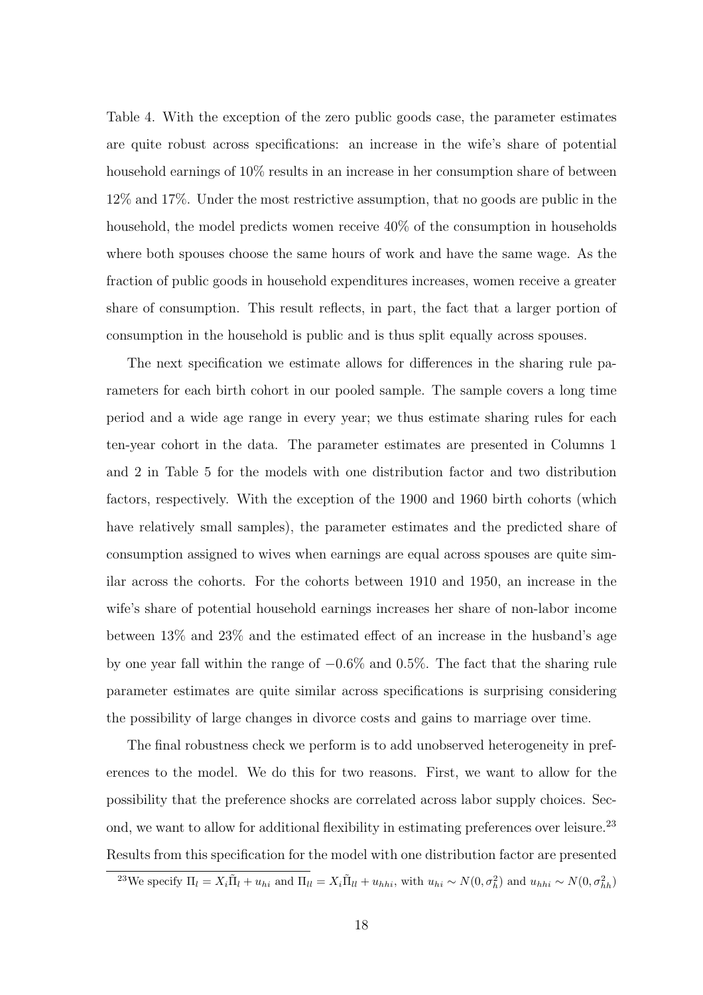Table 4. With the exception of the zero public goods case, the parameter estimates are quite robust across specifications: an increase in the wife's share of potential household earnings of 10% results in an increase in her consumption share of between 12% and 17%. Under the most restrictive assumption, that no goods are public in the household, the model predicts women receive  $40\%$  of the consumption in households where both spouses choose the same hours of work and have the same wage. As the fraction of public goods in household expenditures increases, women receive a greater share of consumption. This result reflects, in part, the fact that a larger portion of consumption in the household is public and is thus split equally across spouses.

The next specification we estimate allows for differences in the sharing rule parameters for each birth cohort in our pooled sample. The sample covers a long time period and a wide age range in every year; we thus estimate sharing rules for each ten-year cohort in the data. The parameter estimates are presented in Columns 1 and 2 in Table 5 for the models with one distribution factor and two distribution factors, respectively. With the exception of the 1900 and 1960 birth cohorts (which have relatively small samples), the parameter estimates and the predicted share of consumption assigned to wives when earnings are equal across spouses are quite similar across the cohorts. For the cohorts between 1910 and 1950, an increase in the wife's share of potential household earnings increases her share of non-labor income between 13% and 23% and the estimated effect of an increase in the husband's age by one year fall within the range of −0.6% and 0.5%. The fact that the sharing rule parameter estimates are quite similar across specifications is surprising considering the possibility of large changes in divorce costs and gains to marriage over time.

The final robustness check we perform is to add unobserved heterogeneity in preferences to the model. We do this for two reasons. First, we want to allow for the possibility that the preference shocks are correlated across labor supply choices. Second, we want to allow for additional flexibility in estimating preferences over leisure.<sup>23</sup> Results from this specification for the model with one distribution factor are presented

<sup>&</sup>lt;sup>23</sup>We specify  $\Pi_l = X_i \tilde{\Pi}_l + u_{hi}$  and  $\Pi_{ll} = X_i \tilde{\Pi}_{ll} + u_{hhi}$ , with  $u_{hi} \sim N(0, \sigma_h^2)$  and  $u_{hhi} \sim N(0, \sigma_{hh}^2)$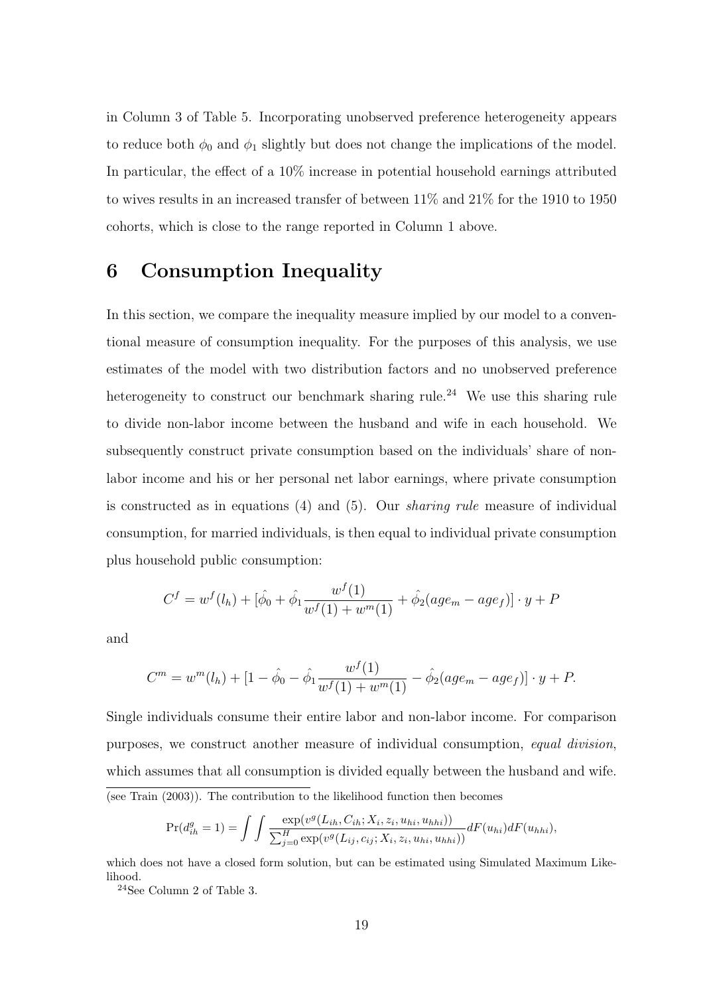in Column 3 of Table 5. Incorporating unobserved preference heterogeneity appears to reduce both  $\phi_0$  and  $\phi_1$  slightly but does not change the implications of the model. In particular, the effect of a 10% increase in potential household earnings attributed to wives results in an increased transfer of between 11% and 21% for the 1910 to 1950 cohorts, which is close to the range reported in Column 1 above.

## 6 Consumption Inequality

In this section, we compare the inequality measure implied by our model to a conventional measure of consumption inequality. For the purposes of this analysis, we use estimates of the model with two distribution factors and no unobserved preference heterogeneity to construct our benchmark sharing rule.<sup>24</sup> We use this sharing rule to divide non-labor income between the husband and wife in each household. We subsequently construct private consumption based on the individuals' share of nonlabor income and his or her personal net labor earnings, where private consumption is constructed as in equations  $(4)$  and  $(5)$ . Our *sharing rule* measure of individual consumption, for married individuals, is then equal to individual private consumption plus household public consumption:

$$
C^{f} = w^{f}(l_{h}) + [\hat{\phi}_{0} + \hat{\phi}_{1} \frac{w^{f}(1)}{w^{f}(1) + w^{m}(1)} + \hat{\phi}_{2}(age_{m} - age_{f})] \cdot y + P
$$

and

$$
C^{m} = w^{m}(l_{h}) + [1 - \hat{\phi}_{0} - \hat{\phi}_{1} \frac{w^{f}(1)}{w^{f}(1) + w^{m}(1)} - \hat{\phi}_{2}(age_{m} - age_{f})] \cdot y + P.
$$

Single individuals consume their entire labor and non-labor income. For comparison purposes, we construct another measure of individual consumption, equal division, which assumes that all consumption is divided equally between the husband and wife. (see Train (2003)). The contribution to the likelihood function then becomes

$$
Pr(d_{ih}^{g} = 1) = \int \int \frac{\exp(v^{g}(L_{ih}, C_{ih}; X_i, z_i, u_{hi}, u_{hhi}))}{\sum_{j=0}^{H} \exp(v^{g}(L_{ij}, c_{ij}; X_i, z_i, u_{hi}, u_{hhi}))} dF(u_{hi}) dF(u_{hhi}),
$$

which does not have a closed form solution, but can be estimated using Simulated Maximum Likelihood.

<sup>24</sup>See Column 2 of Table 3.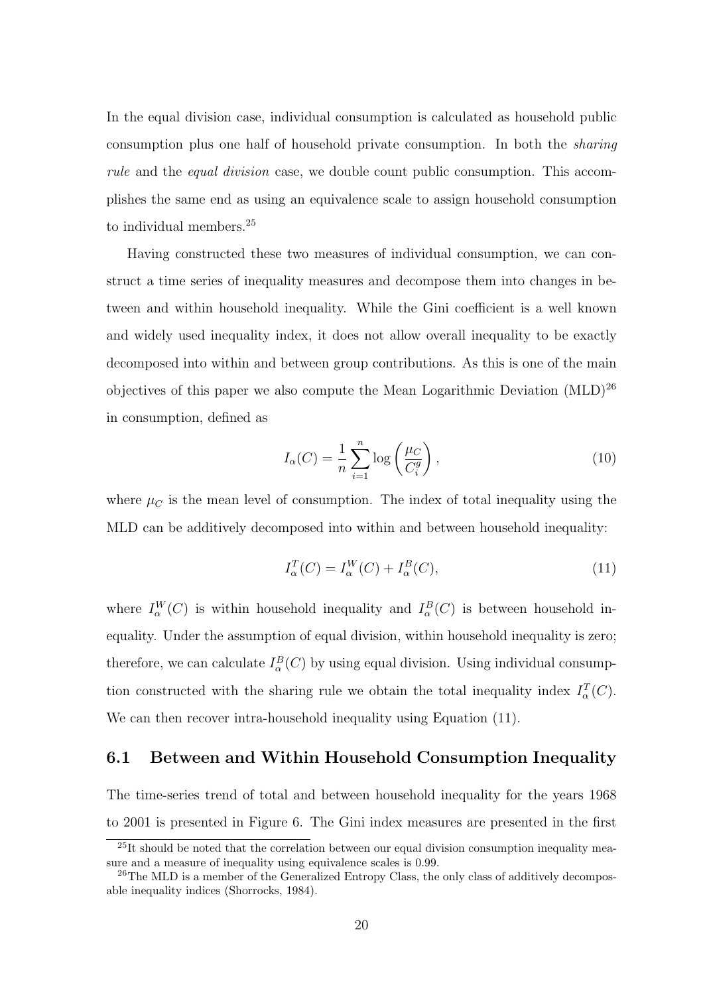In the equal division case, individual consumption is calculated as household public consumption plus one half of household private consumption. In both the sharing rule and the equal division case, we double count public consumption. This accomplishes the same end as using an equivalence scale to assign household consumption to individual members.<sup>25</sup>

Having constructed these two measures of individual consumption, we can construct a time series of inequality measures and decompose them into changes in between and within household inequality. While the Gini coefficient is a well known and widely used inequality index, it does not allow overall inequality to be exactly decomposed into within and between group contributions. As this is one of the main objectives of this paper we also compute the Mean Logarithmic Deviation (MLD)<sup>26</sup> in consumption, defined as

$$
I_{\alpha}(C) = \frac{1}{n} \sum_{i=1}^{n} \log \left( \frac{\mu_C}{C_i^g} \right),\tag{10}
$$

where  $\mu_C$  is the mean level of consumption. The index of total inequality using the MLD can be additively decomposed into within and between household inequality:

$$
I_{\alpha}^{T}(C) = I_{\alpha}^{W}(C) + I_{\alpha}^{B}(C), \qquad (11)
$$

where  $I_{\alpha}^{W}(C)$  is within household inequality and  $I_{\alpha}^{B}(C)$  is between household inequality. Under the assumption of equal division, within household inequality is zero; therefore, we can calculate  $I_{\alpha}^{B}(C)$  by using equal division. Using individual consumption constructed with the sharing rule we obtain the total inequality index  $I^T_\alpha(C)$ . We can then recover intra-household inequality using Equation  $(11)$ .

#### 6.1 Between and Within Household Consumption Inequality

The time-series trend of total and between household inequality for the years 1968 to 2001 is presented in Figure 6. The Gini index measures are presented in the first

 $^{25}$ It should be noted that the correlation between our equal division consumption inequality measure and a measure of inequality using equivalence scales is 0.99.

<sup>&</sup>lt;sup>26</sup>The MLD is a member of the Generalized Entropy Class, the only class of additively decomposable inequality indices (Shorrocks, 1984).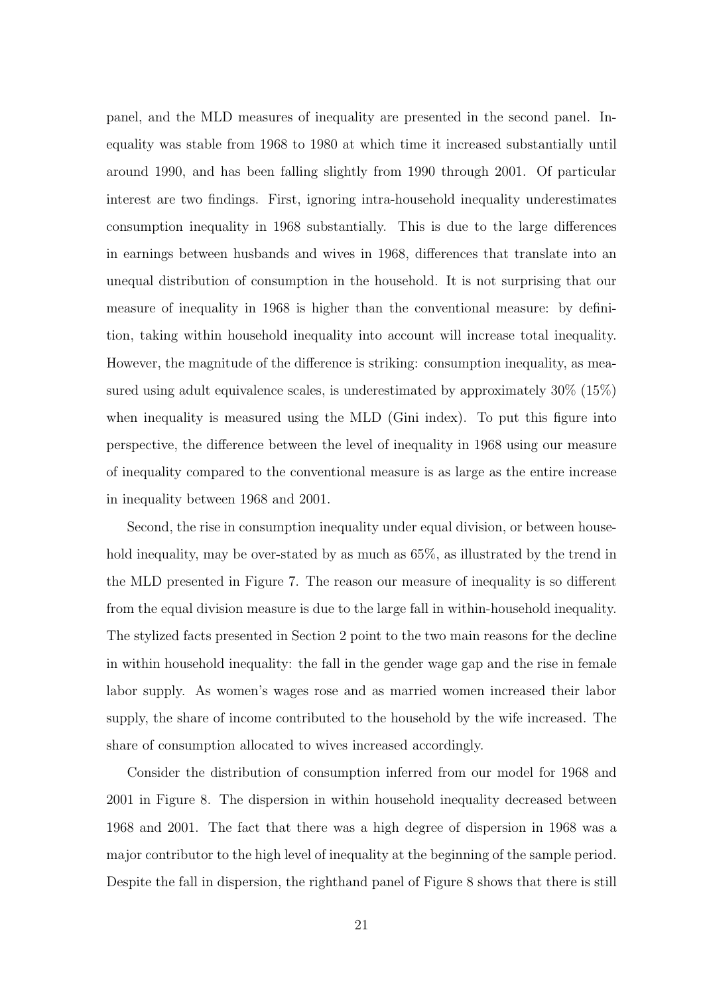panel, and the MLD measures of inequality are presented in the second panel. Inequality was stable from 1968 to 1980 at which time it increased substantially until around 1990, and has been falling slightly from 1990 through 2001. Of particular interest are two findings. First, ignoring intra-household inequality underestimates consumption inequality in 1968 substantially. This is due to the large differences in earnings between husbands and wives in 1968, differences that translate into an unequal distribution of consumption in the household. It is not surprising that our measure of inequality in 1968 is higher than the conventional measure: by definition, taking within household inequality into account will increase total inequality. However, the magnitude of the difference is striking: consumption inequality, as measured using adult equivalence scales, is underestimated by approximately 30% (15%) when inequality is measured using the MLD (Gini index). To put this figure into perspective, the difference between the level of inequality in 1968 using our measure of inequality compared to the conventional measure is as large as the entire increase in inequality between 1968 and 2001.

Second, the rise in consumption inequality under equal division, or between household inequality, may be over-stated by as much as  $65\%$ , as illustrated by the trend in the MLD presented in Figure 7. The reason our measure of inequality is so different from the equal division measure is due to the large fall in within-household inequality. The stylized facts presented in Section 2 point to the two main reasons for the decline in within household inequality: the fall in the gender wage gap and the rise in female labor supply. As women's wages rose and as married women increased their labor supply, the share of income contributed to the household by the wife increased. The share of consumption allocated to wives increased accordingly.

Consider the distribution of consumption inferred from our model for 1968 and 2001 in Figure 8. The dispersion in within household inequality decreased between 1968 and 2001. The fact that there was a high degree of dispersion in 1968 was a major contributor to the high level of inequality at the beginning of the sample period. Despite the fall in dispersion, the righthand panel of Figure 8 shows that there is still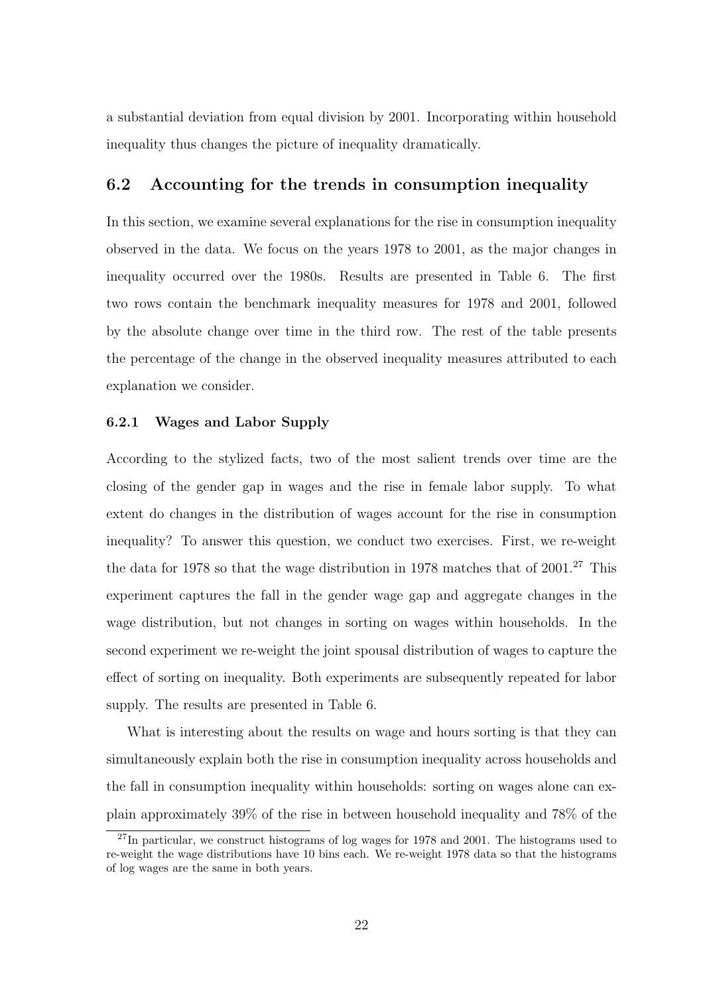a substantial deviation from equal division by 2001. Incorporating within household inequality thus changes the picture of inequality dramatically.

#### 6.2 Accounting for the trends in consumption inequality

In this section, we examine several explanations for the rise in consumption inequality observed in the data. We focus on the years 1978 to 2001, as the major changes in inequality occurred over the 1980s. Results are presented in Table 6. The first two rows contain the benchmark inequality measures for 1978 and 2001, followed by the absolute change over time in the third row. The rest of the table presents the percentage of the change in the observed inequality measures attributed to each explanation we consider.

#### 6.2.1 Wages and Labor Supply

According to the stylized facts, two of the most salient trends over time are the closing of the gender gap in wages and the rise in female labor supply. To what extent do changes in the distribution of wages account for the rise in consumption inequality? To answer this question, we conduct two exercises. First, we re-weight the data for 1978 so that the wage distribution in 1978 matches that of  $2001.<sup>27</sup>$  This experiment captures the fall in the gender wage gap and aggregate changes in the wage distribution, but not changes in sorting on wages within households. In the second experiment we re-weight the joint spousal distribution of wages to capture the effect of sorting on inequality. Both experiments are subsequently repeated for labor supply. The results are presented in Table 6.

What is interesting about the results on wage and hours sorting is that they can simultaneously explain both the rise in consumption inequality across households and the fall in consumption inequality within households: sorting on wages alone can explain approximately 39% of the rise in between household inequality and 78% of the

 $27$ In particular, we construct histograms of log wages for 1978 and 2001. The histograms used to re-weight the wage distributions have 10 bins each. We re-weight 1978 data so that the histograms of log wages are the same in both years.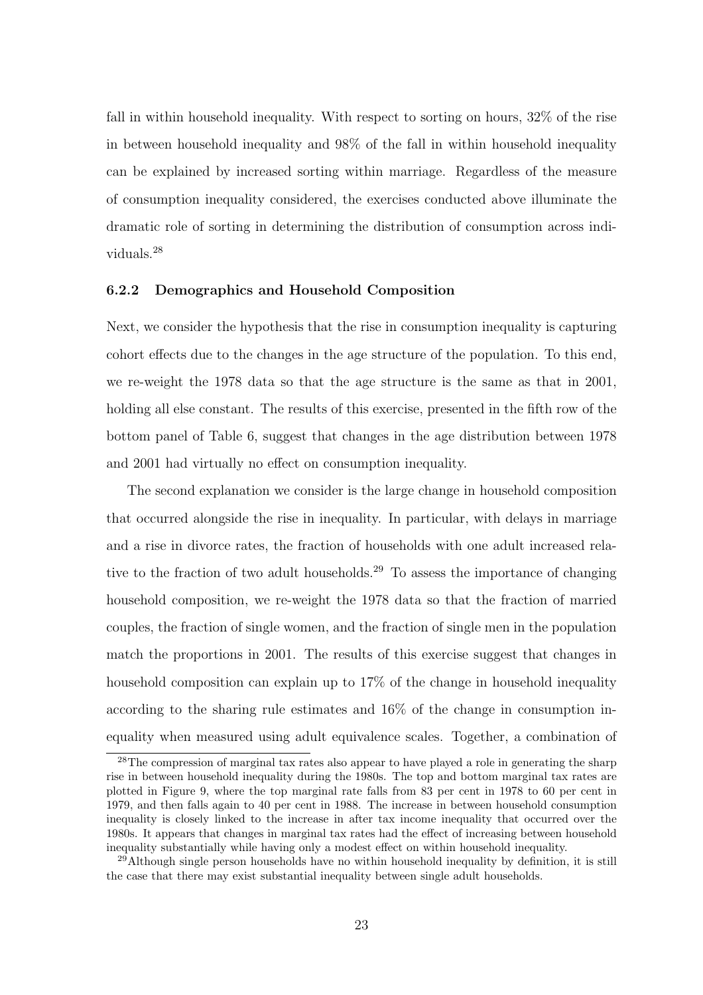fall in within household inequality. With respect to sorting on hours, 32% of the rise in between household inequality and 98% of the fall in within household inequality can be explained by increased sorting within marriage. Regardless of the measure of consumption inequality considered, the exercises conducted above illuminate the dramatic role of sorting in determining the distribution of consumption across individuals.<sup>28</sup>

#### 6.2.2 Demographics and Household Composition

Next, we consider the hypothesis that the rise in consumption inequality is capturing cohort effects due to the changes in the age structure of the population. To this end, we re-weight the 1978 data so that the age structure is the same as that in 2001, holding all else constant. The results of this exercise, presented in the fifth row of the bottom panel of Table 6, suggest that changes in the age distribution between 1978 and 2001 had virtually no effect on consumption inequality.

The second explanation we consider is the large change in household composition that occurred alongside the rise in inequality. In particular, with delays in marriage and a rise in divorce rates, the fraction of households with one adult increased relative to the fraction of two adult households.<sup>29</sup> To assess the importance of changing household composition, we re-weight the 1978 data so that the fraction of married couples, the fraction of single women, and the fraction of single men in the population match the proportions in 2001. The results of this exercise suggest that changes in household composition can explain up to 17% of the change in household inequality according to the sharing rule estimates and 16% of the change in consumption inequality when measured using adult equivalence scales. Together, a combination of

<sup>&</sup>lt;sup>28</sup>The compression of marginal tax rates also appear to have played a role in generating the sharp rise in between household inequality during the 1980s. The top and bottom marginal tax rates are plotted in Figure 9, where the top marginal rate falls from 83 per cent in 1978 to 60 per cent in 1979, and then falls again to 40 per cent in 1988. The increase in between household consumption inequality is closely linked to the increase in after tax income inequality that occurred over the 1980s. It appears that changes in marginal tax rates had the effect of increasing between household inequality substantially while having only a modest effect on within household inequality.

 $^{29}$ Although single person households have no within household inequality by definition, it is still the case that there may exist substantial inequality between single adult households.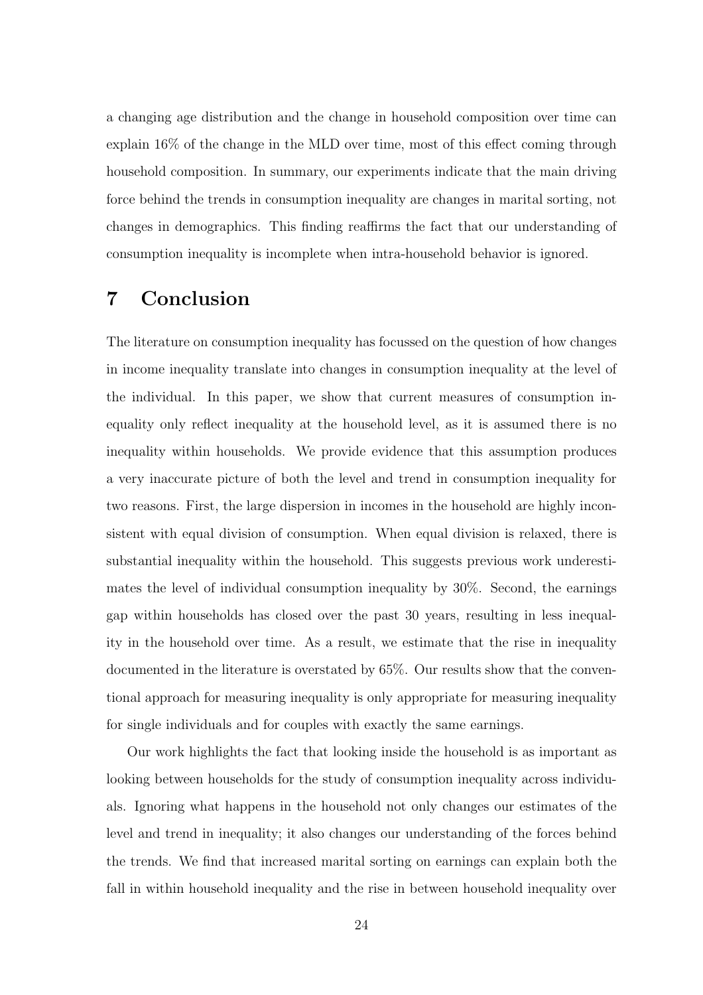a changing age distribution and the change in household composition over time can explain 16% of the change in the MLD over time, most of this effect coming through household composition. In summary, our experiments indicate that the main driving force behind the trends in consumption inequality are changes in marital sorting, not changes in demographics. This finding reaffirms the fact that our understanding of consumption inequality is incomplete when intra-household behavior is ignored.

## 7 Conclusion

The literature on consumption inequality has focussed on the question of how changes in income inequality translate into changes in consumption inequality at the level of the individual. In this paper, we show that current measures of consumption inequality only reflect inequality at the household level, as it is assumed there is no inequality within households. We provide evidence that this assumption produces a very inaccurate picture of both the level and trend in consumption inequality for two reasons. First, the large dispersion in incomes in the household are highly inconsistent with equal division of consumption. When equal division is relaxed, there is substantial inequality within the household. This suggests previous work underestimates the level of individual consumption inequality by 30%. Second, the earnings gap within households has closed over the past 30 years, resulting in less inequality in the household over time. As a result, we estimate that the rise in inequality documented in the literature is overstated by 65%. Our results show that the conventional approach for measuring inequality is only appropriate for measuring inequality for single individuals and for couples with exactly the same earnings.

Our work highlights the fact that looking inside the household is as important as looking between households for the study of consumption inequality across individuals. Ignoring what happens in the household not only changes our estimates of the level and trend in inequality; it also changes our understanding of the forces behind the trends. We find that increased marital sorting on earnings can explain both the fall in within household inequality and the rise in between household inequality over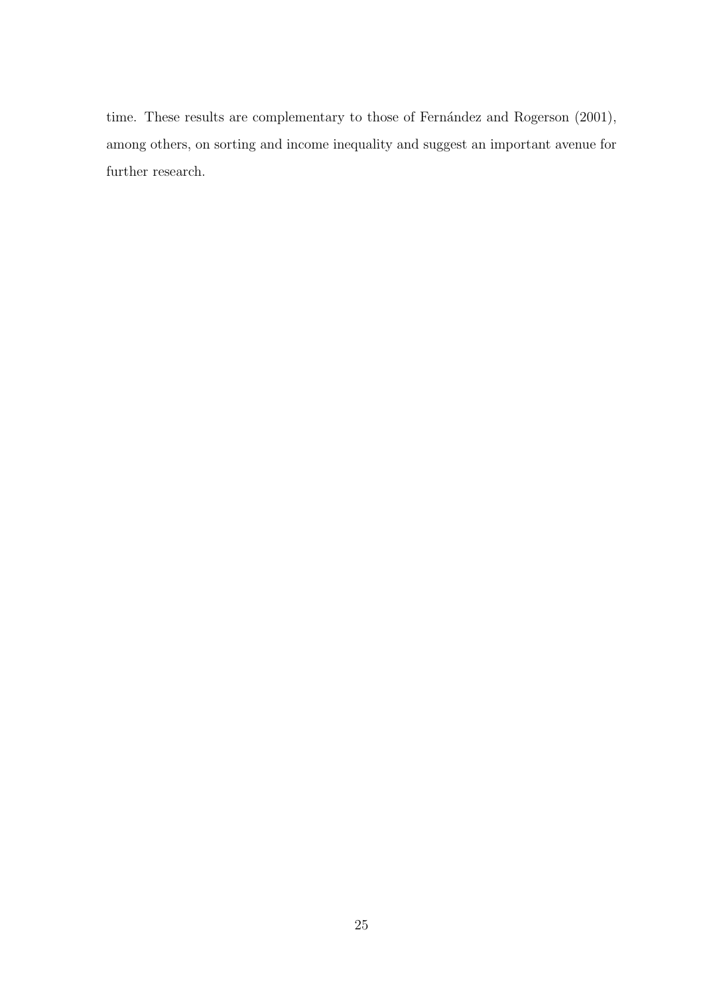time. These results are complementary to those of Fernández and Rogerson (2001), among others, on sorting and income inequality and suggest an important avenue for further research.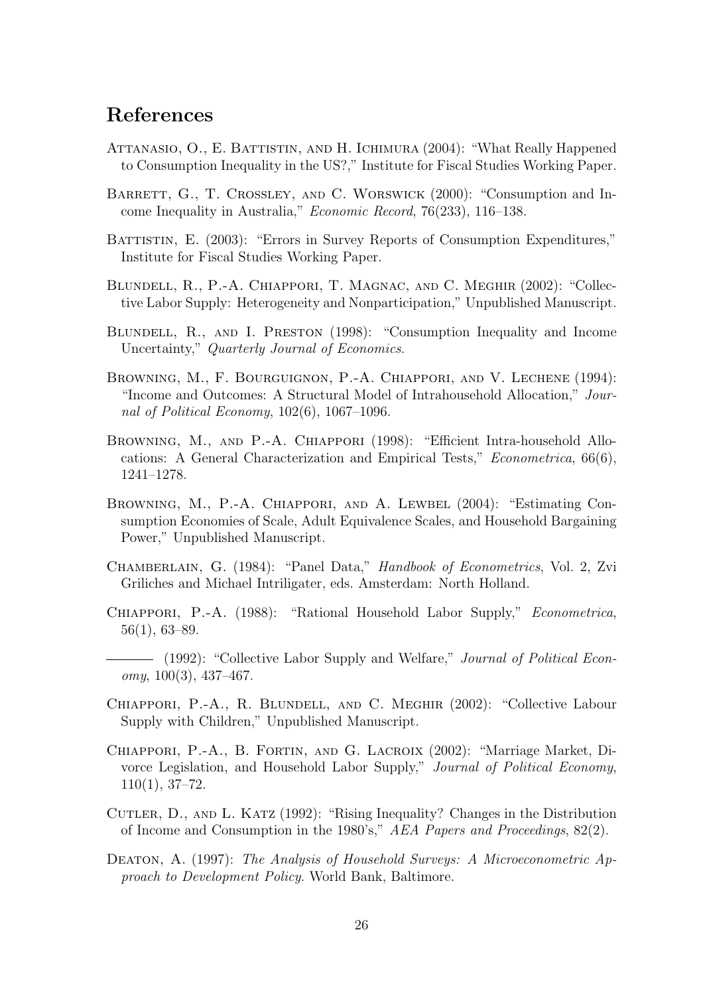## References

- ATTANASIO, O., E. BATTISTIN, AND H. ICHIMURA (2004): "What Really Happened to Consumption Inequality in the US?," Institute for Fiscal Studies Working Paper.
- BARRETT, G., T. CROSSLEY, AND C. WORSWICK (2000): "Consumption and Income Inequality in Australia," Economic Record, 76(233), 116–138.
- BATTISTIN, E. (2003): "Errors in Survey Reports of Consumption Expenditures," Institute for Fiscal Studies Working Paper.
- Blundell, R., P.-A. Chiappori, T. Magnac, and C. Meghir (2002): "Collective Labor Supply: Heterogeneity and Nonparticipation," Unpublished Manuscript.
- BLUNDELL, R., AND I. PRESTON (1998): "Consumption Inequality and Income Uncertainty," Quarterly Journal of Economics.
- Browning, M., F. Bourguignon, P.-A. Chiappori, and V. Lechene (1994): "Income and Outcomes: A Structural Model of Intrahousehold Allocation," Journal of Political Economy,  $102(6)$ ,  $1067-1096$ .
- Browning, M., and P.-A. Chiappori (1998): "Efficient Intra-household Allocations: A General Characterization and Empirical Tests," Econometrica, 66(6), 1241–1278.
- BROWNING, M., P.-A. CHIAPPORI, AND A. LEWBEL (2004): "Estimating Consumption Economies of Scale, Adult Equivalence Scales, and Household Bargaining Power," Unpublished Manuscript.
- Chamberlain, G. (1984): "Panel Data," Handbook of Econometrics, Vol. 2, Zvi Griliches and Michael Intriligater, eds. Amsterdam: North Holland.
- CHIAPPORI, P.-A. (1988): "Rational Household Labor Supply," Econometrica, 56(1), 63–89.
- (1992): "Collective Labor Supply and Welfare," *Journal of Political Econ* $omy, 100(3), 437-467.$
- Chiappori, P.-A., R. Blundell, and C. Meghir (2002): "Collective Labour Supply with Children," Unpublished Manuscript.
- Chiappori, P.-A., B. Fortin, and G. Lacroix (2002): "Marriage Market, Divorce Legislation, and Household Labor Supply," Journal of Political Economy, 110(1), 37–72.
- Cutler, D., and L. Katz (1992): "Rising Inequality? Changes in the Distribution of Income and Consumption in the 1980's," AEA Papers and Proceedings, 82(2).
- DEATON, A. (1997): The Analysis of Household Surveys: A Microeconometric Approach to Development Policy. World Bank, Baltimore.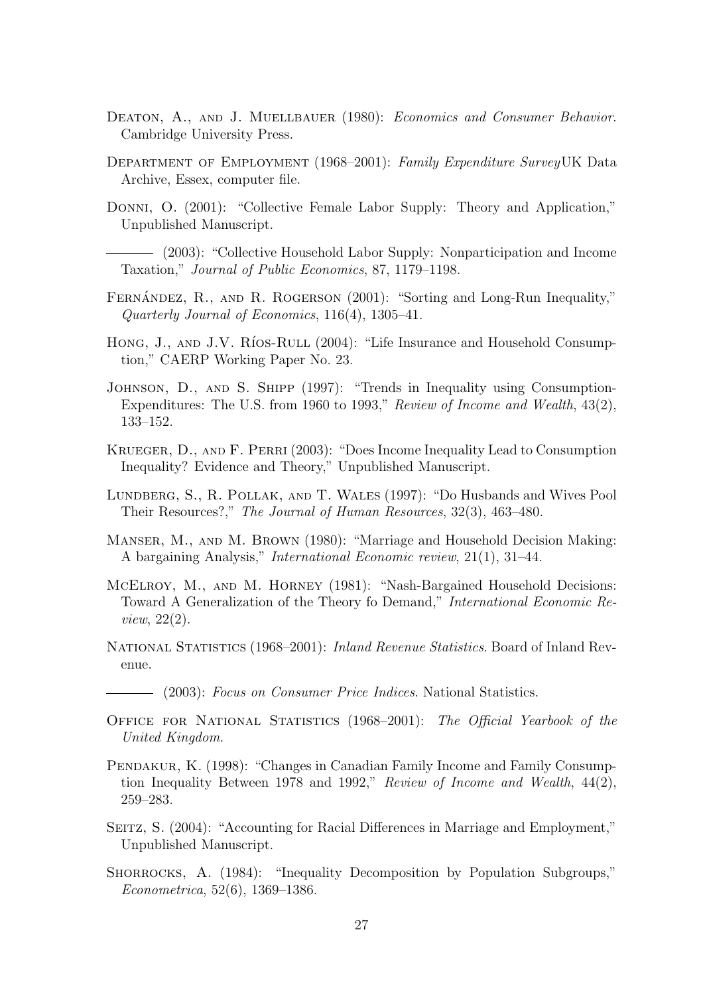- DEATON, A., AND J. MUELLBAUER (1980): *Economics and Consumer Behavior*. Cambridge University Press.
- Department of Employment (1968–2001): Family Expenditure SurveyUK Data Archive, Essex, computer file.
- Donni, O. (2001): "Collective Female Labor Supply: Theory and Application," Unpublished Manuscript.

(2003): "Collective Household Labor Supply: Nonparticipation and Income Taxation," Journal of Public Economics, 87, 1179–1198.

- FERNANDEZ, R., AND R. ROGERSON  $(2001)$ : "Sorting and Long-Run Inequality," Quarterly Journal of Economics, 116(4), 1305–41.
- HONG, J., AND J.V. RÍOS-RULL (2004): "Life Insurance and Household Consumption," CAERP Working Paper No. 23.
- Johnson, D., and S. Shipp (1997): "Trends in Inequality using Consumption-Expenditures: The U.S. from 1960 to 1993," Review of Income and Wealth, 43(2), 133–152.
- Krueger, D., and F. Perri (2003): "Does Income Inequality Lead to Consumption Inequality? Evidence and Theory," Unpublished Manuscript.
- Lundberg, S., R. Pollak, and T. Wales (1997): "Do Husbands and Wives Pool Their Resources?," The Journal of Human Resources, 32(3), 463–480.
- Manser, M., and M. Brown (1980): "Marriage and Household Decision Making: A bargaining Analysis," International Economic review, 21(1), 31–44.
- McElroy, M., and M. Horney (1981): "Nash-Bargained Household Decisions: Toward A Generalization of the Theory fo Demand," International Economic Review, 22(2).
- National Statistics (1968–2001): Inland Revenue Statistics. Board of Inland Revenue.
- (2003): Focus on Consumer Price Indices. National Statistics.
- Office for National Statistics (1968–2001): The Official Yearbook of the United Kingdom.
- PENDAKUR, K. (1998): "Changes in Canadian Family Income and Family Consumption Inequality Between 1978 and 1992," Review of Income and Wealth, 44(2), 259–283.
- SEITZ, S. (2004): "Accounting for Racial Differences in Marriage and Employment," Unpublished Manuscript.
- SHORROCKS, A. (1984): "Inequality Decomposition by Population Subgroups," Econometrica, 52(6), 1369–1386.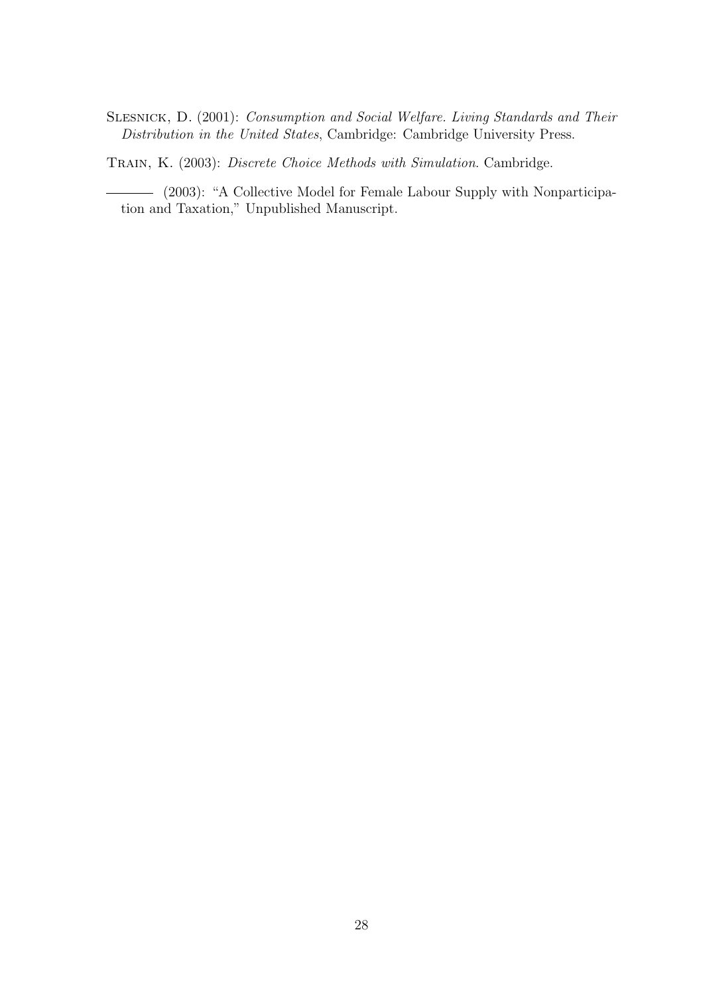Slesnick, D. (2001): Consumption and Social Welfare. Living Standards and Their Distribution in the United States, Cambridge: Cambridge University Press.

TRAIN, K. (2003): Discrete Choice Methods with Simulation. Cambridge.

(2003): "A Collective Model for Female Labour Supply with Nonparticipation and Taxation," Unpublished Manuscript.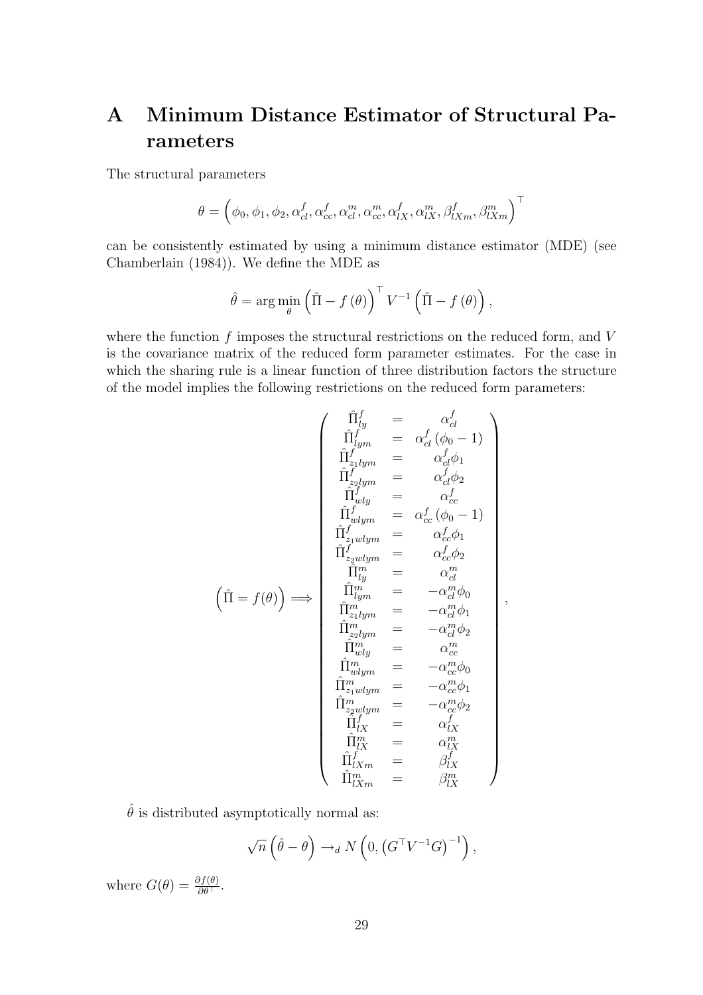## A Minimum Distance Estimator of Structural Parameters

The structural parameters

$$
\theta = \left(\phi_0, \phi_1, \phi_2, \alpha_{cl}^f, \alpha_{cc}^f, \alpha_{cd}^m, \alpha_{cc}^m, \alpha_{lX}^f, \alpha_{lX}^m, \beta_{lXm}^f, \beta_{lXm}^m\right)^\top
$$

can be consistently estimated by using a minimum distance estimator (MDE) (see Chamberlain (1984)). We define the MDE as

$$
\hat{\theta} = \arg\min_{\theta} \left( \hat{\Pi} - f(\theta) \right)^{\top} V^{-1} \left( \hat{\Pi} - f(\theta) \right),
$$

where the function  $f$  imposes the structural restrictions on the reduced form, and  $V$ is the covariance matrix of the reduced form parameter estimates. For the case in which the sharing rule is a linear function of three distribution factors the structure of the model implies the following restrictions on the reduced form parameters:

$$
\left(\hat{\Pi} = f(\theta)\right) \Longrightarrow \begin{pmatrix}\n\hat{\Pi}_{lym}^f & = & \alpha_{cl}^f \\
\hat{\Pi}_{lym}^f & = & \alpha_{cl}^f(\phi_0 - 1) \\
\hat{\Pi}_{z_1lym}^f & = & \alpha_{cl}^f\phi_1 \\
\hat{\Pi}_{z_2lym}^f & = & \alpha_{cl}^f\phi_2 \\
\hat{\Pi}_{wlym}^f & = & \alpha_{cl}^f\phi_2 \\
\hat{\Pi}_{wlym}^f & = & \alpha_{cc}^f(\phi_0 - 1) \\
\hat{\Pi}_{z_1wlym}^f & = & \alpha_{cc}^f\phi_1 \\
\hat{\Pi}_{z_2wlym}^f & = & \alpha_{cc}^f\phi_1 \\
\hat{\Pi}_{z_2wlym}^f & = & \alpha_{cl}^d\phi_0 \\
\hat{\Pi}_{ym}^m & = & -\alpha_{cl}^m\phi_0 \\
\hat{\Pi}_{z_2lym}^m & = & -\alpha_{cl}^m\phi_1 \\
\hat{\Pi}_{z_2lym}^m & = & -\alpha_{cl}^m\phi_2 \\
\hat{\Pi}_{wlym}^m & = & -\alpha_{cc}^m\phi_2 \\
\hat{\Pi}_{wlym}^m & = & -\alpha_{cc}^m\phi_1 \\
\hat{\Pi}_{wlym}^m & = & -\alpha_{cc}^m\phi_1 \\
\hat{\Pi}_{z_2wlym}^m & = & -\alpha_{cc}^m\phi_1 \\
\hat{\Pi}_{z_2wlym}^m & = & -\alpha_{cc}^m\phi_2 \\
\hat{\Pi}_{z_2wlym}^f & = & -\alpha_{cz}^m\phi_2 \\
\hat{\Pi}_{lX}^f & = & \alpha_{lX}^f \\
\hat{\Pi}_{lXm}^f & = & \beta_{lX}^f \\
\hat{\Pi}_{lXm}^f & = & \beta_{lX}^f \\
\end{pmatrix}
$$

,

 $\hat{\theta}$  is distributed asymptotically normal as:

$$
\sqrt{n}\left(\hat{\theta}-\theta\right)\rightarrow_d N\left(0,\left(G^{\top}V^{-1}G\right)^{-1}\right),\,
$$

where  $G(\theta) = \frac{\partial f(\theta)}{\partial \theta^{\top}}$ .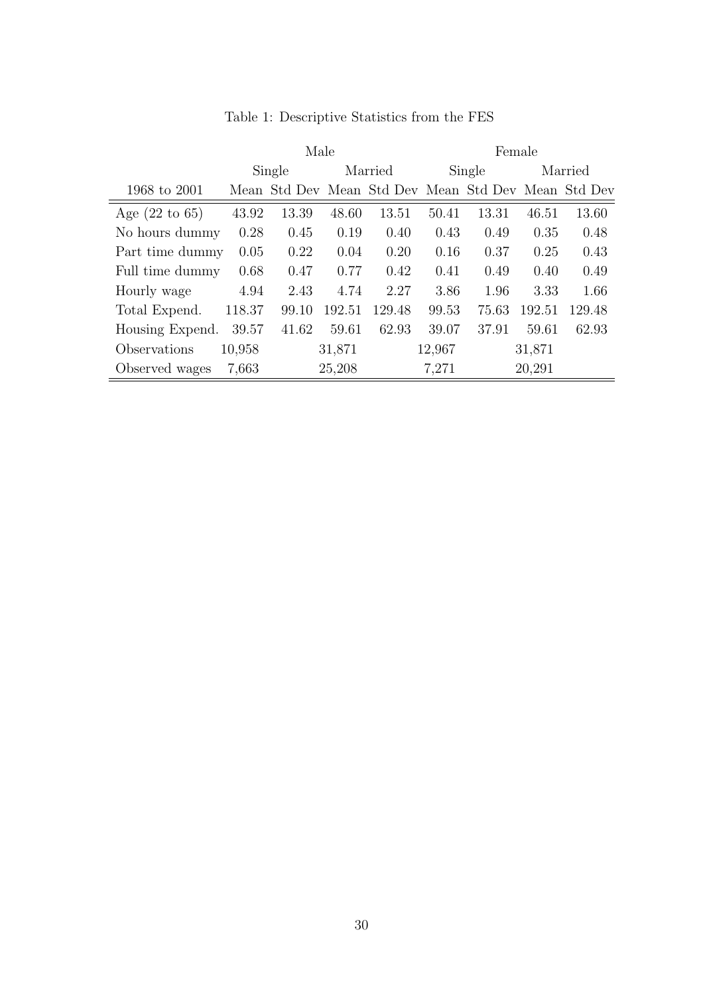|                           | Male   |                                                     |         |        | Female |        |        |         |  |
|---------------------------|--------|-----------------------------------------------------|---------|--------|--------|--------|--------|---------|--|
|                           | Single |                                                     | Married |        |        | Single |        | Married |  |
| 1968 to 2001              |        | Mean Std Dev Mean Std Dev Mean Std Dev Mean Std Dev |         |        |        |        |        |         |  |
| Age $(22 \text{ to } 65)$ | 43.92  | 13.39                                               | 48.60   | 13.51  | 50.41  | 13.31  | 46.51  | 13.60   |  |
| No hours dummy            | 0.28   | 0.45                                                | 0.19    | 0.40   | 0.43   | 0.49   | 0.35   | 0.48    |  |
| Part time dummy           | 0.05   | 0.22                                                | 0.04    | 0.20   | 0.16   | 0.37   | 0.25   | 0.43    |  |
| Full time dummy           | 0.68   | 0.47                                                | 0.77    | 0.42   | 0.41   | 0.49   | 0.40   | 0.49    |  |
| Hourly wage               | 4.94   | 2.43                                                | 4.74    | 2.27   | 3.86   | 1.96   | 3.33   | 1.66    |  |
| Total Expend.             | 118.37 | 99.10                                               | 192.51  | 129.48 | 99.53  | 75.63  | 192.51 | 129.48  |  |
| Housing Expend.           | 39.57  | 41.62                                               | 59.61   | 62.93  | 39.07  | 37.91  | 59.61  | 62.93   |  |
| Observations              | 10,958 |                                                     | 31,871  |        | 12,967 |        | 31,871 |         |  |
| Observed wages            | 7,663  |                                                     | 25,208  |        | 7,271  |        | 20,291 |         |  |

Table 1: Descriptive Statistics from the FES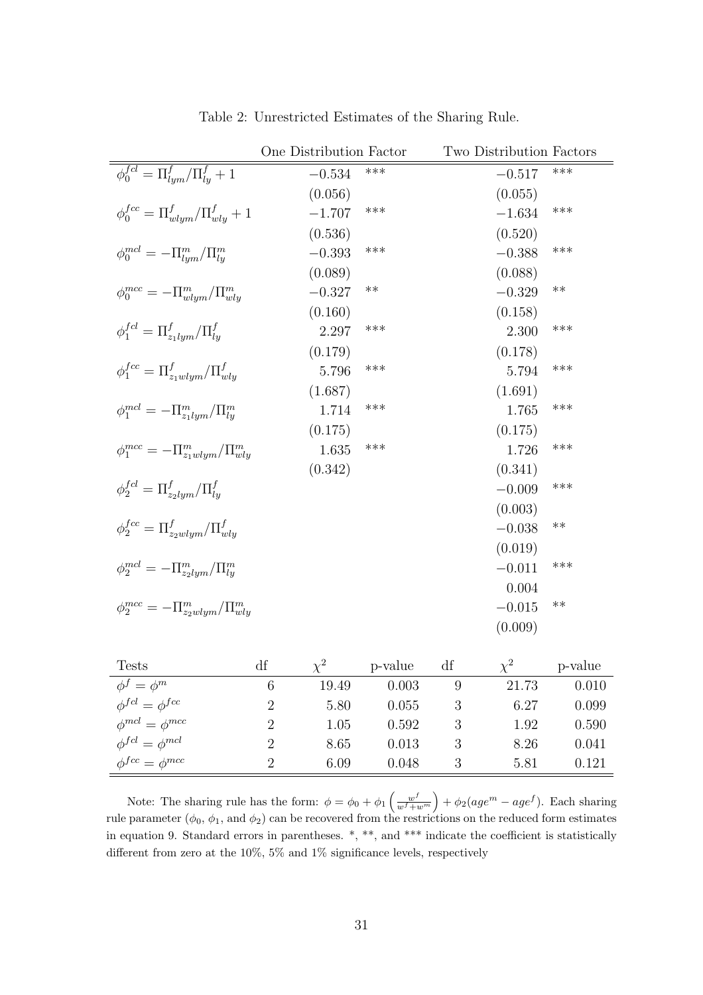|                                                        | One Distribution Factor |     | Two Distribution Factors |       |
|--------------------------------------------------------|-------------------------|-----|--------------------------|-------|
| $\phi_0^{fel} = \Pi_{lvm}^f / \Pi_{lq}^f + 1$          | $-0.534$                | *** | $-0.517$                 | ***   |
|                                                        | (0.056)                 |     | (0.055)                  |       |
| $\phi_0^{fcc} = \Pi_{wlum}^f / \Pi_{wly}^f + 1$        | $-1.707$                | *** | $-1.634$                 | ***   |
|                                                        | (0.536)                 |     | (0.520)                  |       |
| $\phi_0^{mcl} = -\Pi_{lym}^m / \Pi_{lq}^m$             | $-0.393$                | *** | $-0.388$                 | ***   |
|                                                        | (0.089)                 |     | (0.088)                  |       |
| $\phi_0^{mcc} = -\Pi_{wlym}^m / \Pi_{wly}^m$           | $-0.327$                | **  | $-0.329$                 | $***$ |
|                                                        | (0.160)                 |     | (0.158)                  |       |
| $\phi_1^{fel} = \Pi_{z_1 l u m}^{f} / \Pi_{l u}^{f}$   | 2.297                   | *** | 2.300                    | ***   |
|                                                        | (0.179)                 |     | (0.178)                  |       |
| $\phi_1^{fcc} = \Pi_{z_1 \, wlym}^f / \Pi_{wly}^f$     | 5.796                   | *** | 5.794                    | ***   |
|                                                        | (1.687)                 |     | (1.691)                  |       |
| $\phi_1^{mcl} = -\Pi_{z_1 l u m}^{m}/\Pi_{l u}^{m}$    | 1.714                   | *** | 1.765                    | ***   |
|                                                        | (0.175)                 |     | (0.175)                  |       |
| $\phi_1^{mcc} = -\Pi_{z_1 \, wlum}^m / \Pi_{wlu}^m$    | 1.635                   | *** | 1.726                    | ***   |
|                                                        | (0.342)                 |     | (0.341)                  |       |
| $\phi_2^{fel} = \Pi_{z_2 l u m}^f / \Pi_{l u}^f$       |                         |     | $-0.009$                 | ***   |
|                                                        |                         |     | (0.003)                  |       |
| $\phi_2^{fcc} = \Pi_{z \text{2}}^f \sqrt{\Pi_{wlu}^f}$ |                         |     | $-0.038$                 | $***$ |
|                                                        |                         |     | (0.019)                  |       |
| $\phi_2^{mcl} = -\Pi_{z_2lvm}^m / \Pi_{lu}^m$          |                         |     | $-0.011$                 | ***   |
|                                                        |                         |     | 0.004                    |       |
| $\phi_2^{mcc} = -\Pi_{z_2 w lym}^m / \Pi_{wly}^m$      |                         |     | $-0.015$                 | $***$ |
|                                                        |                         |     | (0.009)                  |       |

Table 2: Unrestricted Estimates of the Sharing Rule.

| <b>Tests</b>              | df |       | p-value | df |       | p-value |
|---------------------------|----|-------|---------|----|-------|---------|
| $\phi^f = \phi^m$         |    | 19.49 | 0.003   |    | 21.73 | 0.010   |
| $\phi^{fcl} = \phi^{fcc}$ |    | 5.80  | 0.055   |    | 6.27  | 0.099   |
| $\phi^{mcl} = \phi^{mcc}$ |    | 1.05  | 0.592   |    | 1.92  | 0.590   |
| $\phi^{fcl} = \phi^{mcl}$ |    | 8.65  | 0.013   |    | 8.26  | 0.041   |
| $\phi^{fcc} = \phi^{mcc}$ |    | 6.09  | 0.048   |    | 5.81  | 0.121   |

Note: The sharing rule has the form:  $\phi = \phi_0 + \phi_1$  $\int w^f$  $w^f + w^m$ ´  $+ \phi_2(age^m - age^f)$ . Each sharing rule parameter  $(\phi_0, \phi_1, \text{ and } \phi_2)$  can be recovered from the restrictions on the reduced form estimates in equation 9. Standard errors in parentheses. \*, \*\*, and \*\*\* indicate the coefficient is statistically different from zero at the 10%, 5% and 1% significance levels, respectively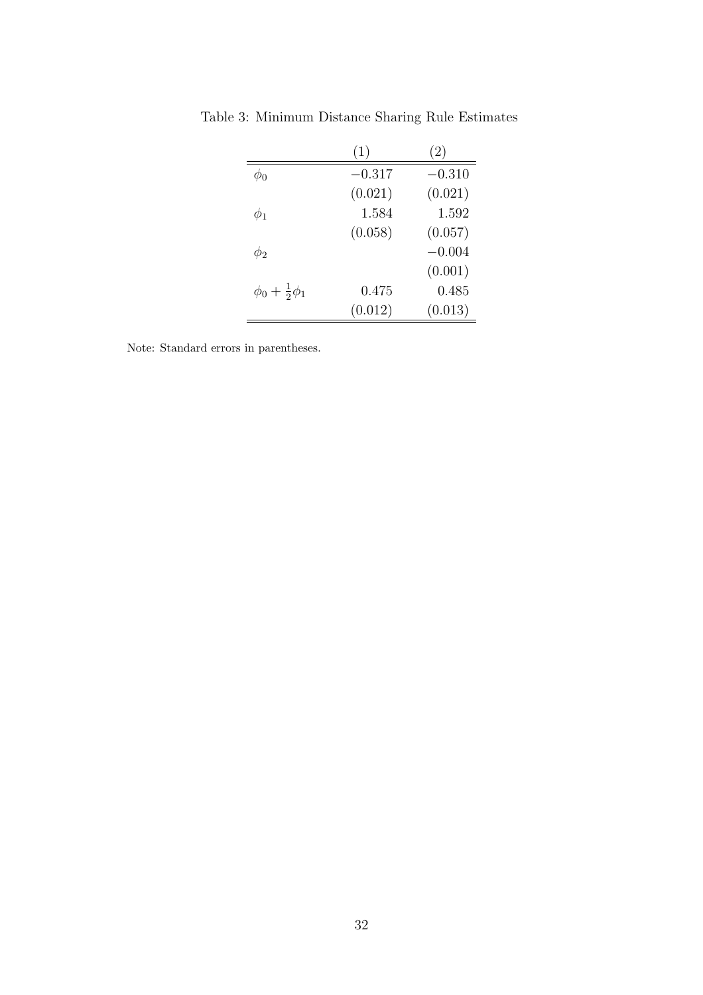|                              | (1)      | (2)      |
|------------------------------|----------|----------|
| Φn                           | $-0.317$ | $-0.310$ |
|                              | (0.021)  | (0.021)  |
| $\phi_1$                     | 1.584    | 1.592    |
|                              | (0.058)  | (0.057)  |
| $\phi_2$                     |          | $-0.004$ |
|                              |          | (0.001)  |
| $\phi_0 + \frac{1}{2}\phi_1$ | 0.475    | 0.485    |
|                              | (0.012)  | (0.013)  |

Table 3: Minimum Distance Sharing Rule Estimates

Note: Standard errors in parentheses.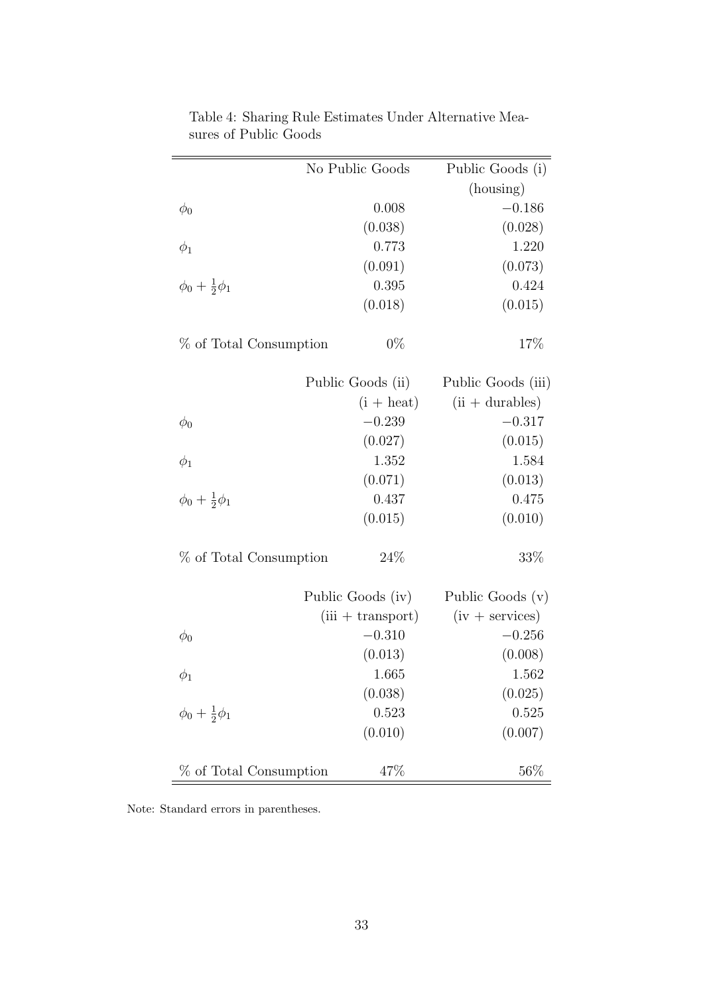|                              | No Public Goods     | Public Goods (i)         |
|------------------------------|---------------------|--------------------------|
|                              |                     | (housing)                |
| $\phi_0$                     | 0.008               | $-0.186$                 |
|                              | (0.038)             | (0.028)                  |
| $\phi_1$                     | 0.773               | 1.220                    |
|                              | (0.091)             | (0.073)                  |
| $\phi_0 + \frac{1}{2}\phi_1$ | 0.395               | 0.424                    |
|                              | (0.018)             | (0.015)                  |
| % of Total Consumption       | $0\%$               | 17%                      |
|                              | Public Goods (ii)   | Public Goods (iii)       |
|                              | $(i + heat)$        | $(ii + \text{durables})$ |
| $\phi_0$                     | $-0.239$            | $-0.317$                 |
|                              | (0.027)             | (0.015)                  |
| $\phi_1$                     | 1.352               | 1.584                    |
|                              | (0.071)             | (0.013)                  |
| $\phi_0 + \frac{1}{2}\phi_1$ | 0.437               | 0.475                    |
|                              | (0.015)             | (0.010)                  |
| % of Total Consumption       | 24\%                | 33\%                     |
|                              | Public Goods (iv)   | Public Goods (v)         |
|                              | $(iii + transport)$ | $(iv + services)$        |
| $\phi_0$                     | $-0.310$            | $-0.256$                 |
|                              | (0.013)             | (0.008)                  |
| $\phi_1$                     | 1.665               | 1.562                    |
|                              | (0.038)             | (0.025)                  |
| $\phi_0 + \frac{1}{2}\phi_1$ | 0.523               | 0.525                    |
|                              | (0.010)             | (0.007)                  |
| % of Total Consumption       | 47%                 | 56%                      |

Table 4: Sharing Rule Estimates Under Alternative Measures of Public Goods

Note: Standard errors in parentheses.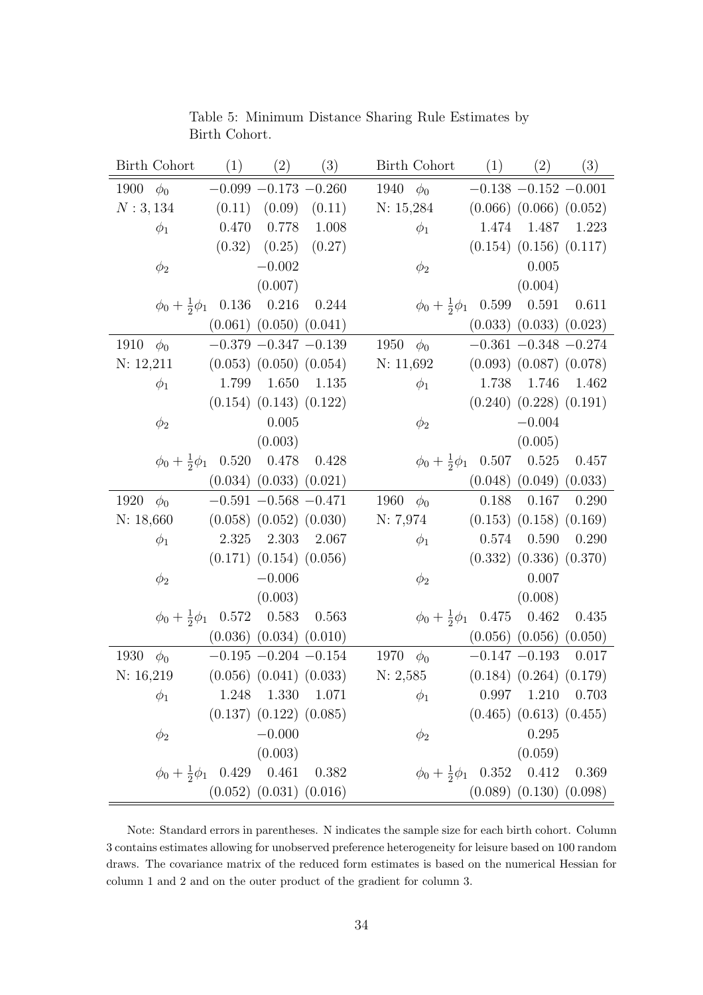| <b>Birth Cohort</b><br>(1)            | (2)                           | (3)     | Birth Cohort                       | (1)   | (2)                           | (3)     |
|---------------------------------------|-------------------------------|---------|------------------------------------|-------|-------------------------------|---------|
| 1900<br>$\phi_0$                      | $-0.099 - 0.173 - 0.260$      |         | 1940<br>$\phi_0$                   |       | $-0.138 - 0.152 - 0.001$      |         |
| N: 3, 134                             | $(0.11)$ $(0.09)$             | (0.11)  | N: 15,284                          |       | $(0.066)$ $(0.066)$ $(0.052)$ |         |
| 0.470<br>$\phi_1$                     | $0.778\,$                     | 1.008   | $\phi_1$                           | 1.474 | 1.487                         | 1.223   |
|                                       | $(0.32)$ $(0.25)$             | (0.27)  |                                    |       | $(0.154)$ $(0.156)$ $(0.117)$ |         |
| $\phi_2$                              | $-0.002$                      |         | $\phi_2$                           |       | 0.005                         |         |
|                                       | (0.007)                       |         |                                    |       | (0.004)                       |         |
| 0.136<br>$\phi_0 + \frac{1}{2}\phi_1$ | 0.216                         | 0.244   | $\phi_0 + \frac{1}{2}\phi_1$       | 0.599 | $0.591\,$                     | 0.611   |
|                                       | $(0.061)$ $(0.050)$ $(0.041)$ |         |                                    |       | $(0.033)$ $(0.033)$ $(0.023)$ |         |
| 1910<br>$\phi_0$                      | $-0.379\ -0.347\ -0.139$      |         | 1950<br>$\phi_0$                   |       | $-0.361 - 0.348 - 0.274$      |         |
| N: 12,211                             | $(0.053)$ $(0.050)$ $(0.054)$ |         | N: 11,692                          |       | $(0.093)$ $(0.087)$ $(0.078)$ |         |
| 1.799<br>$\phi_1$                     | 1.650                         | 1.135   | $\phi_1$                           | 1.738 | 1.746                         | 1.462   |
|                                       | $(0.154)$ $(0.143)$ $(0.122)$ |         |                                    |       | $(0.240)$ $(0.228)$ $(0.191)$ |         |
| $\phi_2$                              | 0.005                         |         | $\phi_2$                           |       | $-0.004$                      |         |
|                                       | (0.003)                       |         |                                    |       | (0.005)                       |         |
| 0.520<br>$\phi_0 + \frac{1}{2}\phi_1$ | 0.478                         | 0.428   | $\phi_0 + \frac{1}{2}\phi_1$       | 0.507 | $0.525\,$                     | 0.457   |
|                                       | $(0.034)$ $(0.033)$ $(0.021)$ |         |                                    |       | $(0.048)$ $(0.049)$ $(0.033)$ |         |
| 1920<br>$\phi_0$                      | $-0.591 - 0.568 - 0.471$      |         | 1960<br>$\phi_0$                   | 0.188 | 0.167                         | 0.290   |
| N: 18,660                             | $(0.058)$ $(0.052)$ $(0.030)$ |         | N: 7,974                           |       | $(0.153)$ $(0.158)$ $(0.169)$ |         |
| 2.325<br>$\phi_1$                     | 2.303                         | 2.067   | $\phi_1$                           | 0.574 | 0.590                         | 0.290   |
|                                       | $(0.171)$ $(0.154)$ $(0.056)$ |         |                                    |       | $(0.332)$ $(0.336)$ $(0.370)$ |         |
| $\phi_2$                              | $-0.006$                      |         | $\phi_2$                           |       | 0.007                         |         |
|                                       | (0.003)                       |         |                                    |       | (0.008)                       |         |
| 0.572<br>$\phi_0 + \frac{1}{2}\phi_1$ | 0.583                         | 0.563   | $\phi_0 + \frac{1}{2}\phi_1$ 0.475 |       | $0.462\,$                     | 0.435   |
|                                       | $(0.036)$ $(0.034)$ $(0.010)$ |         |                                    |       | $(0.056)$ $(0.056)$ $(0.050)$ |         |
| 1930<br>$\phi_0$                      | $-0.195 - 0.204 - 0.154$      |         | 1970<br>$\phi_0$                   |       | $-0.147 - 0.193$              | 0.017   |
| N: 16,219                             | $(0.056)$ $(0.041)$ $(0.033)$ |         | N: 2,585                           |       | $(0.184)$ $(0.264)$ $(0.179)$ |         |
| 1.248<br>$\phi_1$                     | 1.330                         | 1.071   | $\phi_1$                           | 0.997 | 1.210                         | 0.703   |
|                                       | $(0.137)$ $(0.122)$ $(0.085)$ |         |                                    |       | $(0.465)$ $(0.613)$ $(0.455)$ |         |
| $\phi_2$                              | $-0.000$                      |         | $\phi_2$                           |       | 0.295                         |         |
|                                       | (0.003)                       |         |                                    |       | (0.059)                       |         |
| 0.429<br>$\phi_0 + \frac{1}{2}\phi_1$ | 0.461                         | 0.382   | $\phi_0 + \frac{1}{2}\phi_1$       | 0.352 | 0.412                         | 0.369   |
|                                       | $(0.052)$ $(0.031)$           | (0.016) |                                    |       | $(0.089)$ $(0.130)$           | (0.098) |

Table 5: Minimum Distance Sharing Rule Estimates by Birth Cohort.

Note: Standard errors in parentheses. N indicates the sample size for each birth cohort. Column 3 contains estimates allowing for unobserved preference heterogeneity for leisure based on 100 random draws. The covariance matrix of the reduced form estimates is based on the numerical Hessian for column 1 and 2 and on the outer product of the gradient for column 3.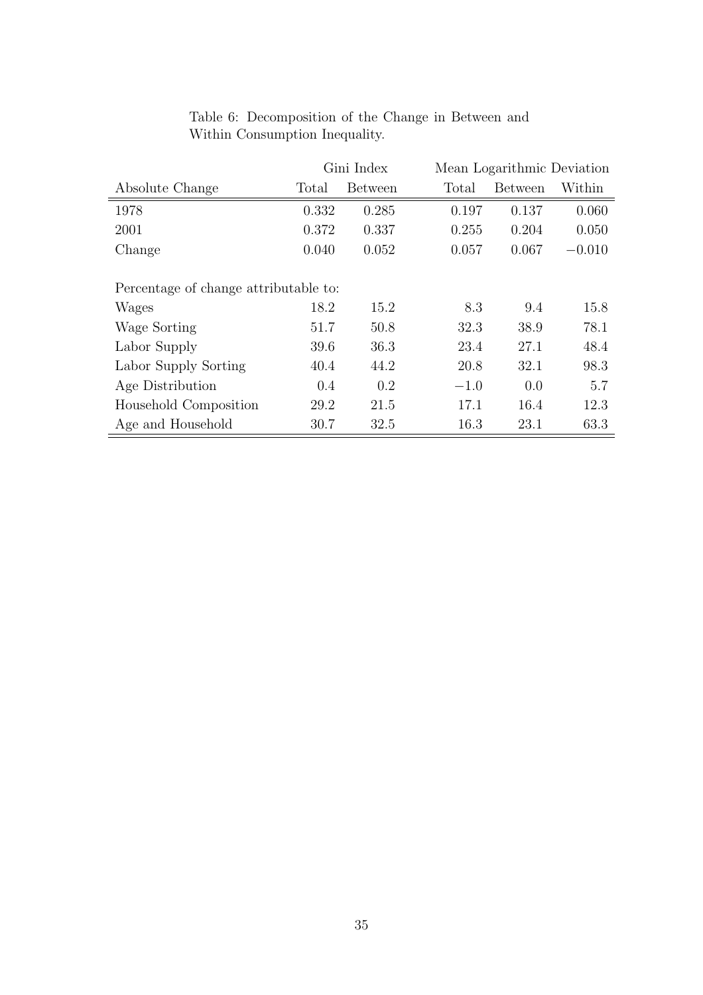|                                       | Gini Index |                | Mean Logarithmic Deviation |                |          |  |
|---------------------------------------|------------|----------------|----------------------------|----------------|----------|--|
| Absolute Change                       | Total      | <b>Between</b> | Total                      | <b>Between</b> | Within   |  |
| 1978                                  | 0.332      | 0.285          | 0.197                      | 0.137          | 0.060    |  |
| 2001                                  | 0.372      | 0.337          | 0.255                      | 0.204          | 0.050    |  |
| Change                                | 0.040      | 0.052          | 0.057                      | 0.067          | $-0.010$ |  |
|                                       |            |                |                            |                |          |  |
| Percentage of change attributable to: |            |                |                            |                |          |  |
| Wages                                 | 18.2       | 15.2           | 8.3                        | 9.4            | 15.8     |  |
| Wage Sorting                          | 51.7       | 50.8           | 32.3                       | 38.9           | 78.1     |  |
| Labor Supply                          | 39.6       | 36.3           | 23.4                       | 27.1           | 48.4     |  |
| Labor Supply Sorting                  | 40.4       | 44.2           | 20.8                       | 32.1           | 98.3     |  |
| Age Distribution                      | 0.4        | 0.2            | $-1.0$                     | 0.0            | 5.7      |  |
| Household Composition                 | 29.2       | 21.5           | 17.1                       | 16.4           | 12.3     |  |
| Age and Household                     | 30.7       | 32.5           | 16.3                       | 23.1           | 63.3     |  |

### Table 6: Decomposition of the Change in Between and Within Consumption Inequality.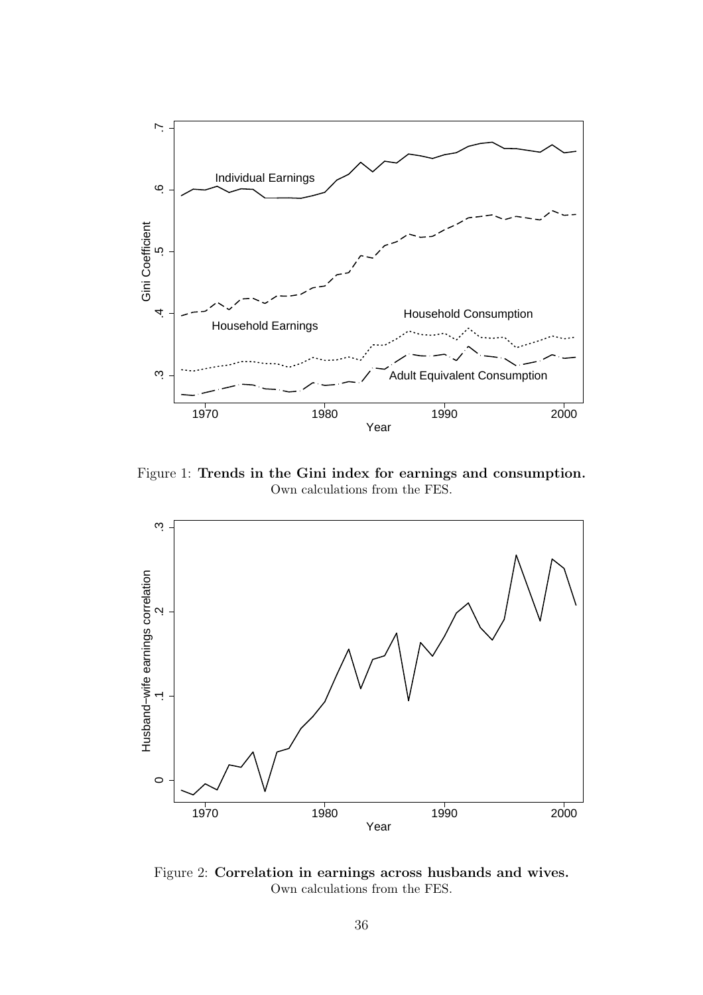

Figure 1: Trends in the Gini index for earnings and consumption. Own calculations from the FES.



Figure 2: Correlation in earnings across husbands and wives. Own calculations from the FES.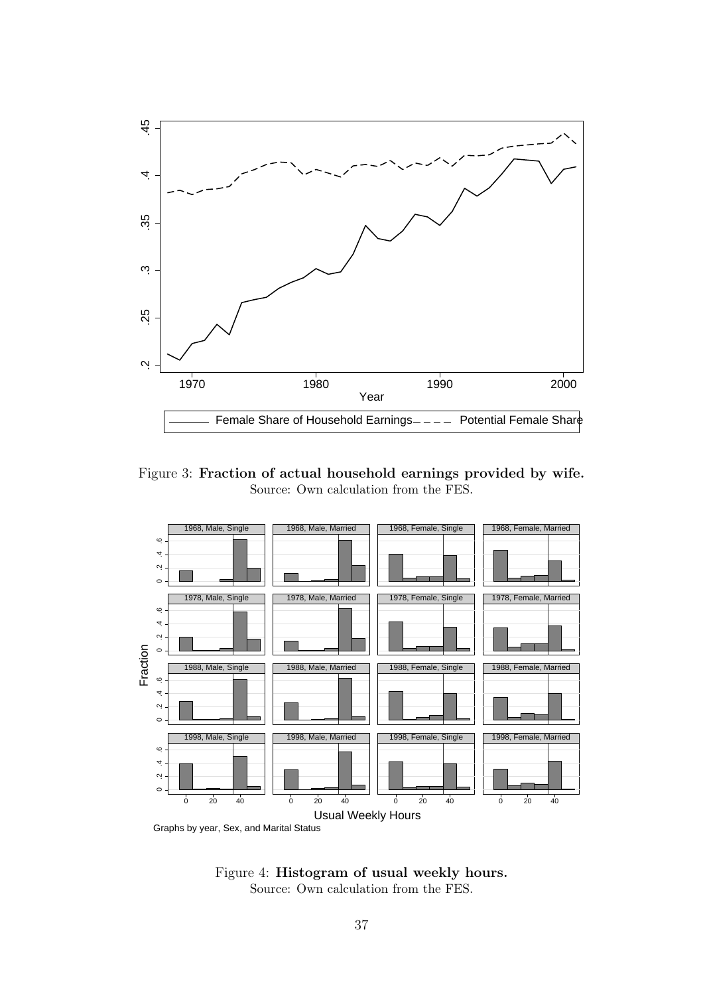

Figure 3: Fraction of actual household earnings provided by wife. Source: Own calculation from the FES.



Graphs by year, Sex, and Marital Status

Figure 4: Histogram of usual weekly hours. Source: Own calculation from the FES.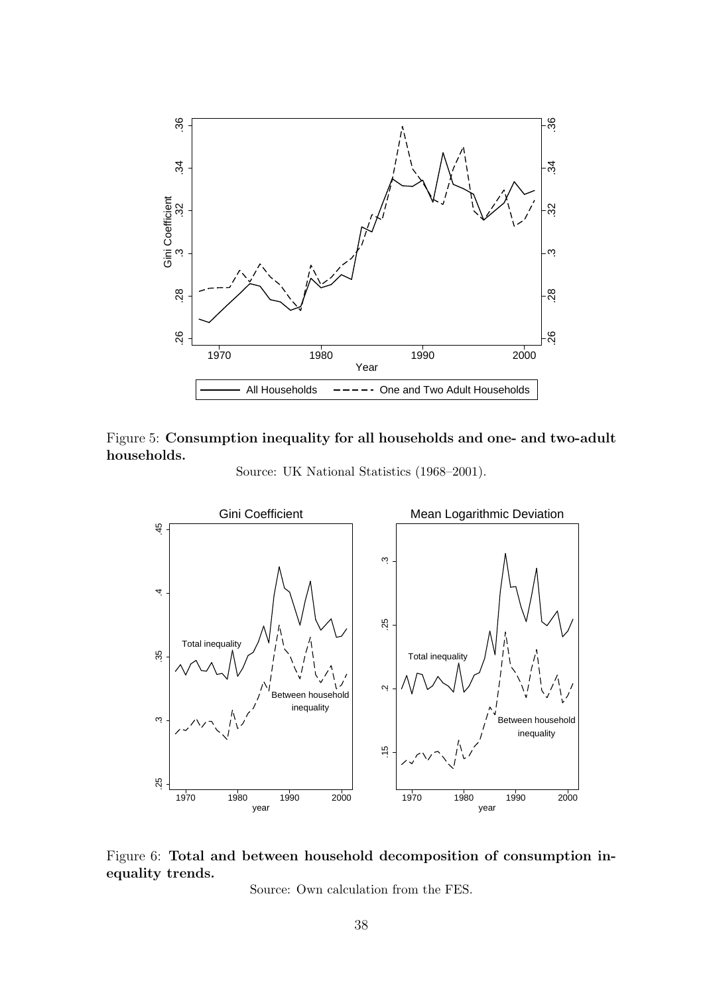









Source: Own calculation from the FES.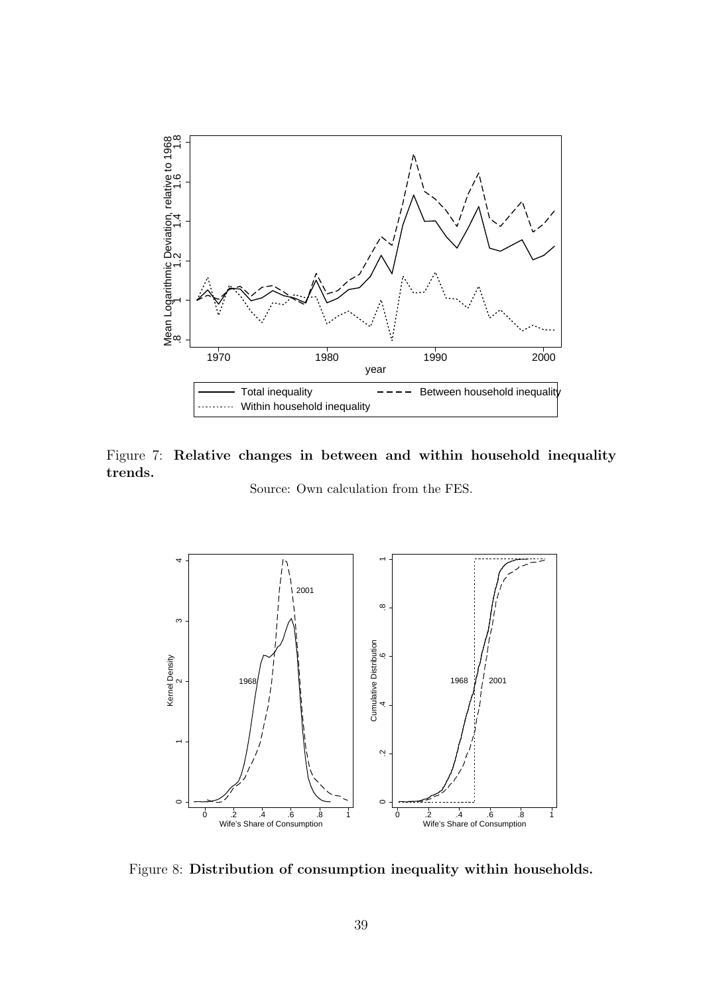

Figure 7: Relative changes in between and within household inequality trends.

Source: Own calculation from the FES.



Figure 8: Distribution of consumption inequality within households.